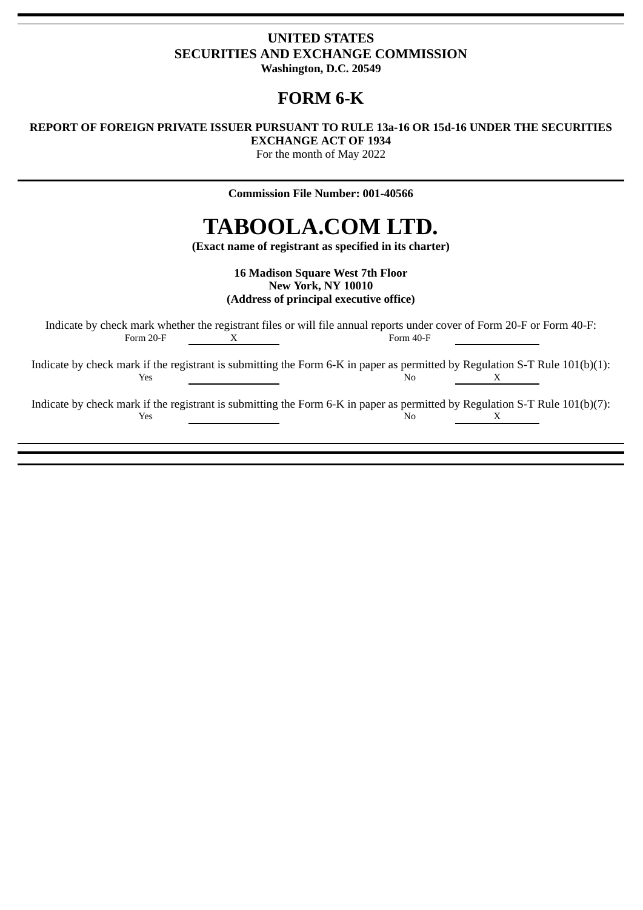# **UNITED STATES SECURITIES AND EXCHANGE COMMISSION Washington, D.C. 20549**

# **FORM 6-K**

# **REPORT OF FOREIGN PRIVATE ISSUER PURSUANT TO RULE 13a-16 OR 15d-16 UNDER THE SECURITIES EXCHANGE ACT OF 1934**

For the month of May 2022

**Commission File Number: 001-40566**

# **TABOOLA.COM LTD.**

**(Exact name of registrant as specified in its charter)**

**16 Madison Square West 7th Floor New York, NY 10010 (Address of principal executive office)**

Indicate by check mark whether the registrant files or will file annual reports under cover of Form 20-F or Form 40-F:<br>Form 20-F  $\frac{X}{T}$ Form 40-F

Indicate by check mark if the registrant is submitting the Form 6-K in paper as permitted by Regulation S-T Rule 101(b)(1):  $Y$ es  $X$ 

Indicate by check mark if the registrant is submitting the Form 6-K in paper as permitted by Regulation S-T Rule 101(b)(7): **The Second Second Second Second Second Second Second Second Second Second Second Second Second Second Second S**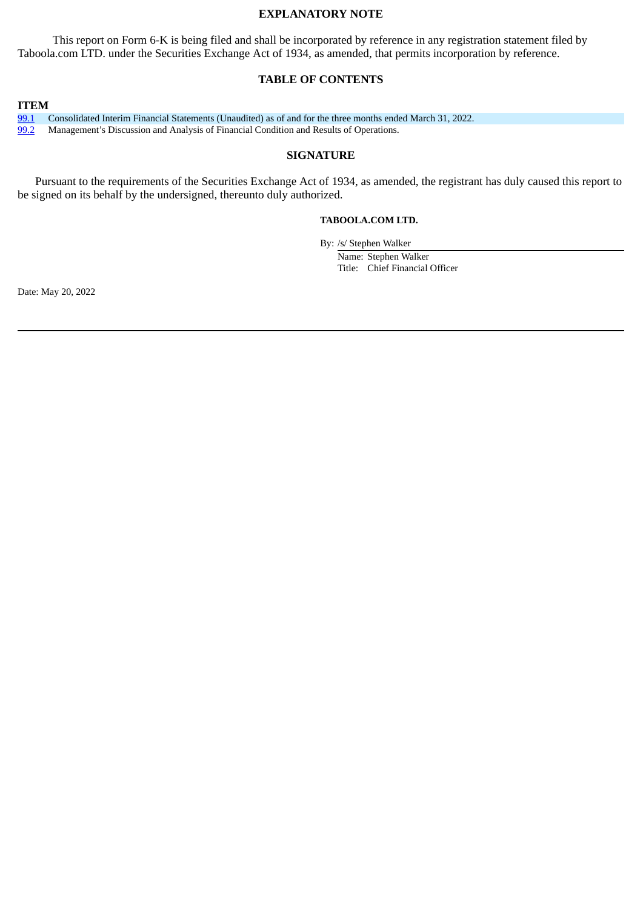# **EXPLANATORY NOTE**

This report on Form 6-K is being filed and shall be incorporated by reference in any registration statement filed by Taboola.com LTD. under the Securities Exchange Act of 1934, as amended, that permits incorporation by reference.

# **TABLE OF CONTENTS**

**ITEM**

[99.1](#page-2-0) Consolidated Interim Financial Statements (Unaudited) as of and for the three months ended March 31, 2022. [99.2](#page-21-0) Management's Discussion and Analysis of Financial Condition and Results of Operations.

#### **SIGNATURE**

Pursuant to the requirements of the Securities Exchange Act of 1934, as amended, the registrant has duly caused this report to be signed on its behalf by the undersigned, thereunto duly authorized.

#### **TABOOLA.COM LTD.**

By: /s/ Stephen Walker

Name: Stephen Walker Title: Chief Financial Officer

Date: May 20, 2022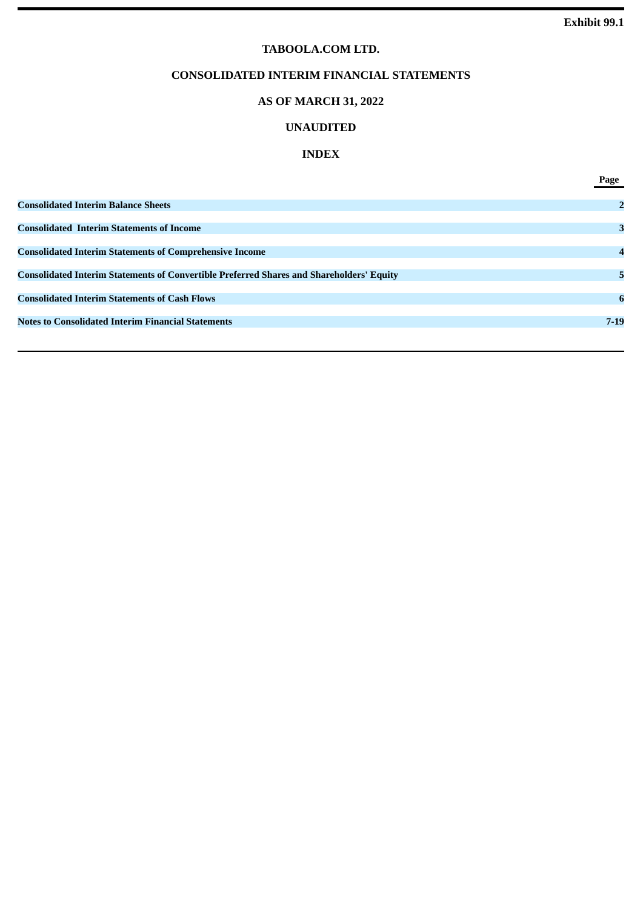# **TABOOLA.COM LTD.**

# **CONSOLIDATED INTERIM FINANCIAL STATEMENTS**

# **AS OF MARCH 31, 2022**

# **UNAUDITED**

# **INDEX**

<span id="page-2-0"></span>

|                                                                                                 | Page            |
|-------------------------------------------------------------------------------------------------|-----------------|
| <b>Consolidated Interim Balance Sheets</b>                                                      | $\overline{2}$  |
| <b>Consolidated Interim Statements of Income</b>                                                | 3               |
| <b>Consolidated Interim Statements of Comprehensive Income</b>                                  | $\overline{A}$  |
| <b>Consolidated Interim Statements of Convertible Preferred Shares and Shareholders' Equity</b> | 5               |
| <b>Consolidated Interim Statements of Cash Flows</b>                                            | $6\phantom{1}6$ |
| <b>Notes to Consolidated Interim Financial Statements</b>                                       | $7 - 19$        |
|                                                                                                 |                 |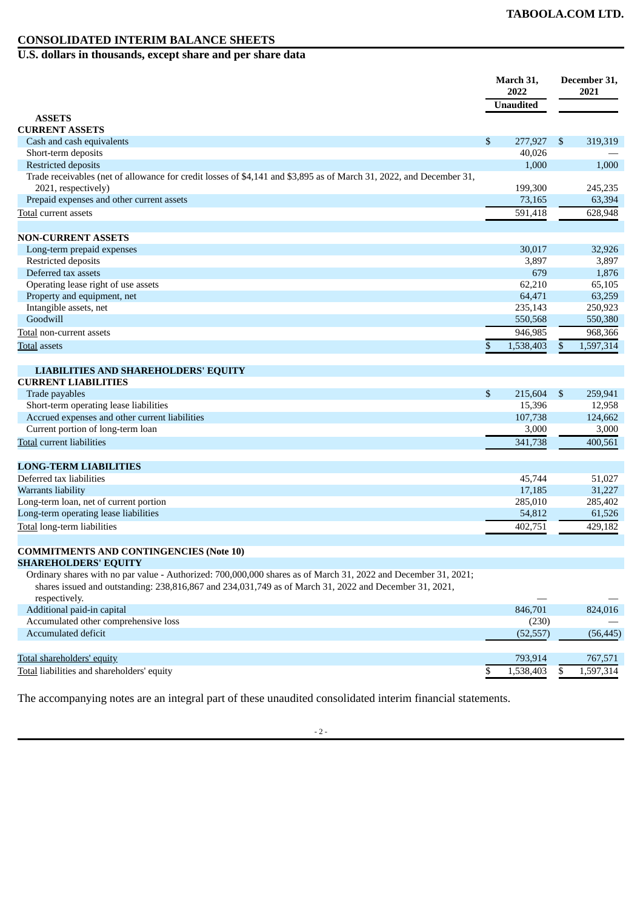# **CONSOLIDATED INTERIM BALANCE SHEETS**

**U.S. dollars in thousands, except share and per share data**

|                                                                                                                                                                                                                          | March 31,<br>2022 |                | December 31,<br>2021 |
|--------------------------------------------------------------------------------------------------------------------------------------------------------------------------------------------------------------------------|-------------------|----------------|----------------------|
|                                                                                                                                                                                                                          | <b>Unaudited</b>  |                |                      |
| <b>ASSETS</b>                                                                                                                                                                                                            |                   |                |                      |
| <b>CURRENT ASSETS</b>                                                                                                                                                                                                    |                   |                |                      |
| Cash and cash equivalents                                                                                                                                                                                                | \$<br>277,927     | $\mathfrak{S}$ | 319,319              |
| Short-term deposits                                                                                                                                                                                                      | 40,026            |                |                      |
| <b>Restricted deposits</b>                                                                                                                                                                                               | 1,000             |                | 1,000                |
| Trade receivables (net of allowance for credit losses of \$4,141 and \$3,895 as of March 31, 2022, and December 31,<br>2021, respectively)                                                                               | 199,300           |                | 245,235              |
| Prepaid expenses and other current assets                                                                                                                                                                                | 73,165            |                | 63,394               |
| <b>Total current assets</b>                                                                                                                                                                                              | 591,418           |                | 628,948              |
| <b>NON-CURRENT ASSETS</b>                                                                                                                                                                                                |                   |                |                      |
| Long-term prepaid expenses                                                                                                                                                                                               | 30,017            |                | 32,926               |
| Restricted deposits                                                                                                                                                                                                      | 3,897             |                | 3,897                |
| Deferred tax assets                                                                                                                                                                                                      | 679               |                | 1,876                |
| Operating lease right of use assets                                                                                                                                                                                      | 62,210            |                | 65,105               |
| Property and equipment, net                                                                                                                                                                                              | 64,471            |                | 63,259               |
| Intangible assets, net                                                                                                                                                                                                   | 235,143           |                | 250,923              |
| Goodwill                                                                                                                                                                                                                 | 550,568           |                | 550,380              |
| Total non-current assets                                                                                                                                                                                                 | 946,985           |                | 968,366              |
|                                                                                                                                                                                                                          |                   |                |                      |
| Total assets                                                                                                                                                                                                             | \$<br>1,538,403   | \$             | 1,597,314            |
| <b>LIABILITIES AND SHAREHOLDERS' EQUITY</b>                                                                                                                                                                              |                   |                |                      |
| <b>CURRENT LIABILITIES</b>                                                                                                                                                                                               |                   |                |                      |
| Trade payables                                                                                                                                                                                                           | \$<br>215,604     | \$             | 259,941              |
| Short-term operating lease liabilities                                                                                                                                                                                   | 15,396            |                | 12,958               |
| Accrued expenses and other current liabilities                                                                                                                                                                           | 107,738           |                | 124,662              |
| Current portion of long-term loan                                                                                                                                                                                        | 3,000             |                | 3,000                |
| Total current liabilities                                                                                                                                                                                                | 341,738           |                | 400,561              |
| <b>LONG-TERM LIABILITIES</b>                                                                                                                                                                                             |                   |                |                      |
| Deferred tax liabilities                                                                                                                                                                                                 | 45,744            |                | 51,027               |
| Warrants liability                                                                                                                                                                                                       | 17,185            |                | 31,227               |
| Long-term loan, net of current portion                                                                                                                                                                                   | 285,010           |                | 285,402              |
| Long-term operating lease liabilities                                                                                                                                                                                    | 54,812            |                | 61,526               |
| Total long-term liabilities                                                                                                                                                                                              | 402,751           |                | 429,182              |
|                                                                                                                                                                                                                          |                   |                |                      |
| <b>COMMITMENTS AND CONTINGENCIES (Note 10)</b>                                                                                                                                                                           |                   |                |                      |
| <b>SHAREHOLDERS' EQUITY</b>                                                                                                                                                                                              |                   |                |                      |
| Ordinary shares with no par value - Authorized: 700,000,000 shares as of March 31, 2022 and December 31, 2021;<br>shares issued and outstanding: 238,816,867 and 234,031,749 as of March 31, 2022 and December 31, 2021, |                   |                |                      |
| respectively.                                                                                                                                                                                                            |                   |                |                      |
| Additional paid-in capital                                                                                                                                                                                               | 846,701           |                | 824,016              |
| Accumulated other comprehensive loss                                                                                                                                                                                     | (230)             |                |                      |
| Accumulated deficit                                                                                                                                                                                                      | (52, 557)         |                | (56, 445)            |
|                                                                                                                                                                                                                          |                   |                |                      |

Total shareholders' equity 793,914 767,571 Total liabilities and shareholders' equity and the state of the state of the state of the state of the state of the state of the state of the state of the state of the state of the state of the state of the state of the st

The accompanying notes are an integral part of these unaudited consolidated interim financial statements.

- 2 -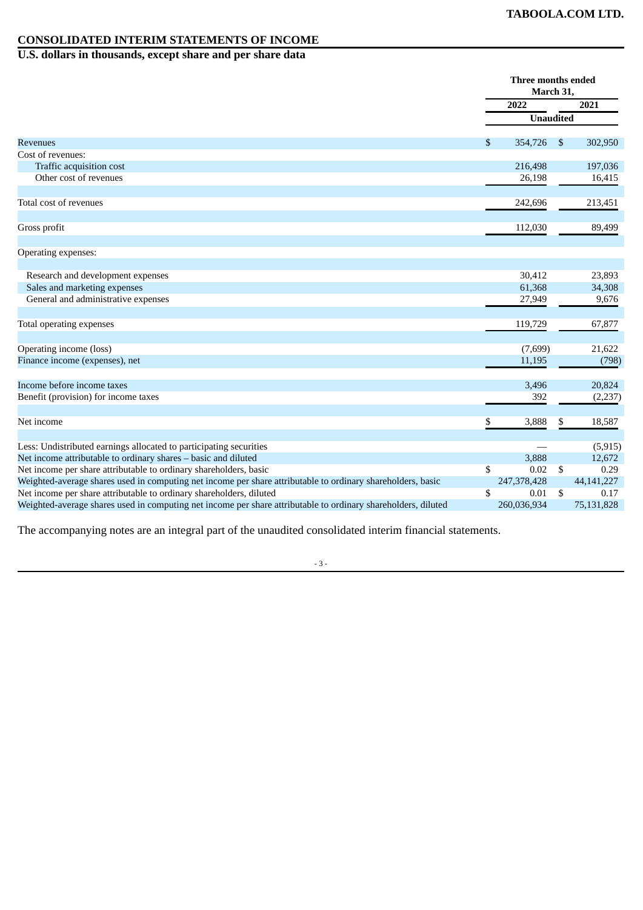# **CONSOLIDATED INTERIM STATEMENTS OF INCOME**

**U.S. dollars in thousands, except share and per share data**

|                                                                                                               | Three months ended<br>March 31, |               |
|---------------------------------------------------------------------------------------------------------------|---------------------------------|---------------|
|                                                                                                               | 2022                            | 2021          |
|                                                                                                               | <b>Unaudited</b>                |               |
| <b>Revenues</b>                                                                                               | \$<br>354,726                   | \$<br>302,950 |
| Cost of revenues:                                                                                             |                                 |               |
| Traffic acquisition cost                                                                                      | 216,498                         | 197,036       |
| Other cost of revenues                                                                                        | 26,198                          | 16,415        |
|                                                                                                               |                                 |               |
| Total cost of revenues                                                                                        | 242,696                         | 213,451       |
|                                                                                                               | 112,030                         | 89,499        |
| Gross profit                                                                                                  |                                 |               |
| Operating expenses:                                                                                           |                                 |               |
| Research and development expenses                                                                             | 30,412                          | 23,893        |
| Sales and marketing expenses                                                                                  | 61,368                          | 34,308        |
| General and administrative expenses                                                                           | 27,949                          | 9,676         |
| Total operating expenses                                                                                      | 119,729                         | 67,877        |
| Operating income (loss)                                                                                       | (7,699)                         | 21,622        |
| Finance income (expenses), net                                                                                | 11,195                          | (798)         |
| Income before income taxes                                                                                    |                                 |               |
|                                                                                                               | 3,496<br>392                    | 20,824        |
| Benefit (provision) for income taxes                                                                          |                                 | (2,237)       |
| Net income                                                                                                    | \$<br>3,888                     | \$<br>18,587  |
| Less: Undistributed earnings allocated to participating securities                                            |                                 | (5, 915)      |
| Net income attributable to ordinary shares - basic and diluted                                                | 3,888                           | 12,672        |
| Net income per share attributable to ordinary shareholders, basic                                             | \$<br>0.02                      | \$<br>0.29    |
| Weighted-average shares used in computing net income per share attributable to ordinary shareholders, basic   | 247,378,428                     | 44, 141, 227  |
| Net income per share attributable to ordinary shareholders, diluted                                           | \$<br>0.01                      | \$<br>0.17    |
| Weighted-average shares used in computing net income per share attributable to ordinary shareholders, diluted | 260,036,934                     | 75,131,828    |

The accompanying notes are an integral part of the unaudited consolidated interim financial statements.

- 3 -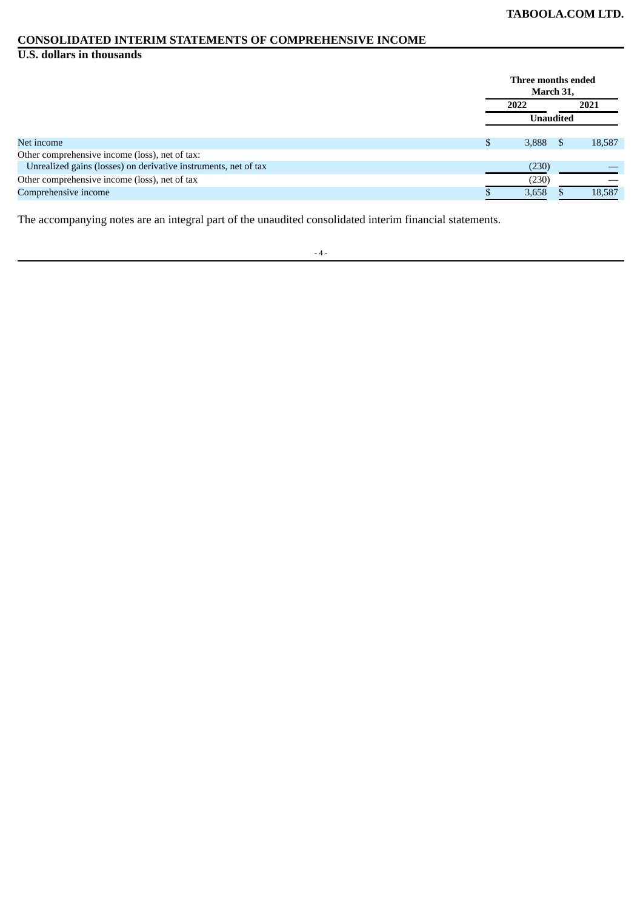# **CONSOLIDATED INTERIM STATEMENTS OF COMPREHENSIVE INCOME**

#### **U.S. dollars in thousands**

|                                                                 |   | Three months ended | March 31,        |        |  |
|-----------------------------------------------------------------|---|--------------------|------------------|--------|--|
|                                                                 |   | 2022               |                  | 2021   |  |
|                                                                 |   |                    | <b>Unaudited</b> |        |  |
| Net income                                                      | D | 3,888              | <b>S</b>         | 18,587 |  |
| Other comprehensive income (loss), net of tax:                  |   |                    |                  |        |  |
| Unrealized gains (losses) on derivative instruments, net of tax |   | (230)              |                  |        |  |
| Other comprehensive income (loss), net of tax                   |   | (230)              |                  |        |  |
| Comprehensive income                                            |   | 3,658              |                  | 18,587 |  |

The accompanying notes are an integral part of the unaudited consolidated interim financial statements.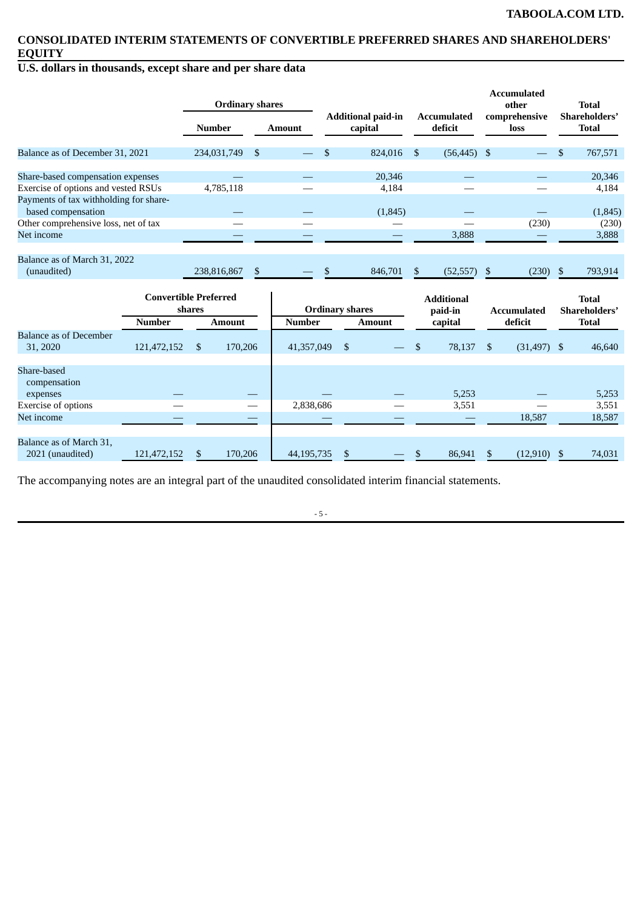# **CONSOLIDATED INTERIM STATEMENTS OF CONVERTIBLE PREFERRED SHARES AND SHAREHOLDERS' EQUITY**

# **U.S. dollars in thousands, except share and per share data**

|                                        |                              |                | <b>Ordinary shares</b>        |               |                                      |                        |               |                               |                       |                | <b>Accumulated</b><br>other   | <b>Total</b>                  |
|----------------------------------------|------------------------------|----------------|-------------------------------|---------------|--------------------------------------|------------------------|---------------|-------------------------------|-----------------------|----------------|-------------------------------|-------------------------------|
|                                        |                              |                | <b>Number</b>                 | <b>Amount</b> | <b>Additional paid-in</b><br>capital |                        |               | <b>Accumulated</b><br>deficit | comprehensive<br>loss |                | Shareholders'<br><b>Total</b> |                               |
| Balance as of December 31, 2021        |                              |                | 234,031,749<br>-\$            |               | $\mathfrak{S}$                       |                        | 824,016       | \$                            | $(56, 445)$ \$        |                |                               | \$<br>767,571                 |
| Share-based compensation expenses      |                              |                |                               |               |                                      |                        | 20,346        |                               |                       |                |                               | 20,346                        |
| Exercise of options and vested RSUs    |                              |                | 4,785,118                     |               |                                      |                        | 4,184         |                               |                       |                |                               | 4,184                         |
| Payments of tax withholding for share- |                              |                |                               |               |                                      |                        |               |                               |                       |                |                               |                               |
| based compensation                     |                              |                |                               |               |                                      |                        | (1,845)       |                               |                       |                |                               | (1,845)                       |
| Other comprehensive loss, net of tax   |                              |                |                               |               |                                      |                        |               |                               |                       |                | (230)                         | (230)                         |
| Net income                             |                              |                |                               |               |                                      |                        |               |                               | 3,888                 |                |                               | 3,888                         |
|                                        |                              |                |                               |               |                                      |                        |               |                               |                       |                |                               |                               |
| Balance as of March 31, 2022           |                              |                |                               |               |                                      |                        |               |                               |                       |                |                               |                               |
| (unaudited)                            |                              |                | $\mathfrak{s}$<br>238,816,867 |               | \$                                   |                        | 846,701       | $\mathfrak{S}$                | (52, 557)             | $\mathfrak{F}$ | (230)                         | \$<br>793,914                 |
|                                        |                              |                |                               |               |                                      |                        |               |                               |                       |                |                               |                               |
|                                        | <b>Convertible Preferred</b> | shares         |                               |               |                                      | <b>Ordinary shares</b> |               |                               | <b>Additional</b>     |                |                               | <b>Total</b>                  |
|                                        | <b>Number</b>                |                | <b>Amount</b>                 | <b>Number</b> |                                      |                        | <b>Amount</b> |                               | paid-in<br>capital    |                | <b>Accumulated</b><br>deficit | Shareholders'<br><b>Total</b> |
| <b>Balance as of December</b>          |                              |                |                               |               |                                      |                        |               |                               |                       |                |                               |                               |
| 31, 2020                               | 121,472,152                  | $\mathfrak{S}$ | 170,206                       | 41,357,049    |                                      | <sup>\$</sup>          |               | \$                            | 78,137                | $\mathfrak{S}$ | (31, 497)                     | \$<br>46.640                  |
|                                        |                              |                |                               |               |                                      |                        |               |                               |                       |                |                               |                               |
| Share-based                            |                              |                |                               |               |                                      |                        |               |                               |                       |                |                               |                               |
| compensation                           |                              |                |                               |               |                                      |                        |               |                               |                       |                |                               |                               |
| expenses                               |                              |                |                               |               |                                      |                        |               |                               | 5,253                 |                |                               | 5,253                         |
| <b>Exercise of options</b>             |                              |                |                               | 2,838,686     |                                      |                        |               |                               | 3,551                 |                |                               | 3,551                         |
| Net income                             |                              |                |                               |               |                                      |                        |               |                               |                       |                | 18,587                        | 18,587                        |
|                                        |                              |                |                               |               |                                      |                        |               |                               |                       |                |                               |                               |
| Balance as of March 31,                |                              |                |                               |               |                                      |                        |               |                               |                       |                |                               |                               |
| 2021 (unaudited)                       | 121,472,152                  | \$             | 170,206                       | 44,195,735    |                                      | \$                     |               | \$                            | 86,941                | <sup>\$</sup>  | $(12,910)$ \$                 | 74,031                        |

The accompanying notes are an integral part of the unaudited consolidated interim financial statements.

- 5 -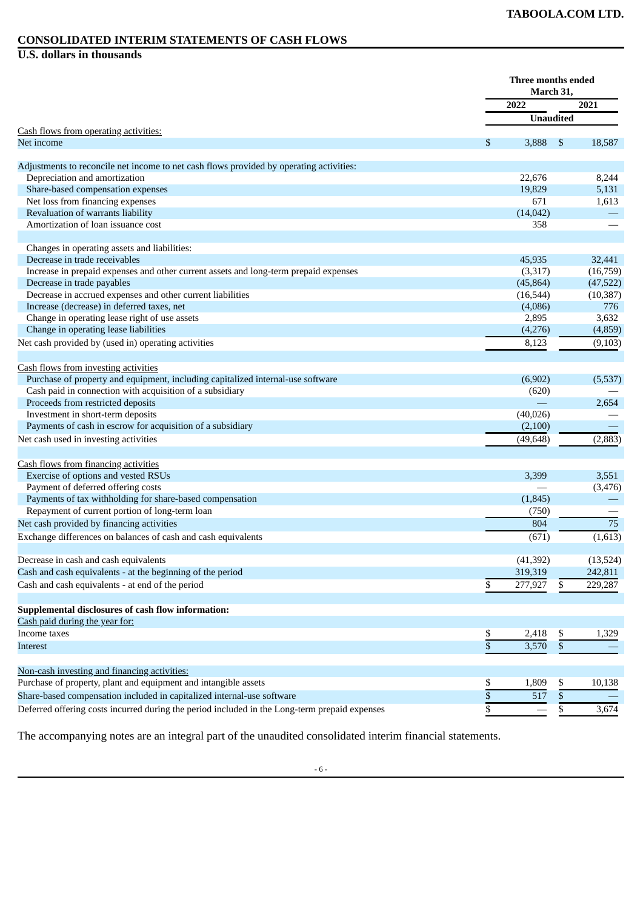#### **CONSOLIDATED INTERIM STATEMENTS OF CASH FLOWS**

**U.S. dollars in thousands**

|                                                                                                                 |                 | Three months ended<br>March 31, |                 |                 |
|-----------------------------------------------------------------------------------------------------------------|-----------------|---------------------------------|-----------------|-----------------|
|                                                                                                                 |                 | 2022                            |                 | 2021            |
|                                                                                                                 |                 | <b>Unaudited</b>                |                 |                 |
| Cash flows from operating activities:                                                                           |                 |                                 |                 |                 |
| Net income                                                                                                      | \$              | 3,888                           | \$              | 18,587          |
| Adjustments to reconcile net income to net cash flows provided by operating activities:                         |                 |                                 |                 |                 |
| Depreciation and amortization                                                                                   |                 | 22,676                          |                 | 8,244           |
| Share-based compensation expenses                                                                               |                 | 19,829                          |                 | 5,131           |
| Net loss from financing expenses                                                                                |                 | 671                             |                 | 1,613           |
| Revaluation of warrants liability                                                                               |                 | (14, 042)                       |                 |                 |
| Amortization of loan issuance cost                                                                              |                 | 358                             |                 |                 |
|                                                                                                                 |                 |                                 |                 |                 |
| Changes in operating assets and liabilities:                                                                    |                 |                                 |                 |                 |
| Decrease in trade receivables                                                                                   |                 | 45,935                          |                 | 32,441          |
| Increase in prepaid expenses and other current assets and long-term prepaid expenses                            |                 | (3,317)                         |                 | (16,759)        |
| Decrease in trade payables                                                                                      |                 | (45, 864)                       |                 | (47, 522)       |
| Decrease in accrued expenses and other current liabilities                                                      |                 | (16, 544)                       |                 | (10, 387)       |
| Increase (decrease) in deferred taxes, net                                                                      |                 | (4,086)                         |                 | 776             |
| Change in operating lease right of use assets                                                                   |                 | 2,895                           |                 | 3,632           |
| Change in operating lease liabilities                                                                           |                 | (4,276)                         |                 | (4,859)         |
| Net cash provided by (used in) operating activities                                                             |                 | 8,123                           |                 | (9, 103)        |
| Cash flows from investing activities                                                                            |                 |                                 |                 |                 |
| Purchase of property and equipment, including capitalized internal-use software                                 |                 | (6,902)                         |                 | (5,537)         |
| Cash paid in connection with acquisition of a subsidiary                                                        |                 | (620)                           |                 |                 |
| Proceeds from restricted deposits                                                                               |                 |                                 |                 | 2,654           |
| Investment in short-term deposits                                                                               |                 | (40, 026)                       |                 |                 |
| Payments of cash in escrow for acquisition of a subsidiary                                                      |                 | (2,100)                         |                 |                 |
| Net cash used in investing activities                                                                           |                 | (49, 648)                       |                 | (2,883)         |
|                                                                                                                 |                 |                                 |                 |                 |
| Cash flows from financing activities                                                                            |                 |                                 |                 |                 |
| Exercise of options and vested RSUs                                                                             |                 | 3,399                           |                 | 3,551           |
| Payment of deferred offering costs                                                                              |                 |                                 |                 | (3, 476)        |
| Payments of tax withholding for share-based compensation                                                        |                 | (1,845)                         |                 |                 |
| Repayment of current portion of long-term loan                                                                  |                 | (750)                           |                 |                 |
| Net cash provided by financing activities                                                                       |                 | 804                             |                 | $\overline{75}$ |
| Exchange differences on balances of cash and cash equivalents                                                   |                 | (671)                           |                 | (1,613)         |
| Decrease in cash and cash equivalents                                                                           |                 | (41, 392)                       |                 | (13, 524)       |
| Cash and cash equivalents - at the beginning of the period                                                      |                 | 319,319                         |                 | 242,811         |
| Cash and cash equivalents - at end of the period                                                                | \$              | 277,927                         | \$              | 229,287         |
|                                                                                                                 |                 |                                 |                 |                 |
| <b>Supplemental disclosures of cash flow information:</b>                                                       |                 |                                 |                 |                 |
| Cash paid during the year for:                                                                                  |                 |                                 |                 |                 |
| Income taxes                                                                                                    | \$              | 2,418                           | \$              | 1,329           |
| Interest                                                                                                        | $\overline{\$}$ | 3,570                           | $\overline{\$}$ |                 |
|                                                                                                                 |                 |                                 |                 |                 |
| Non-cash investing and financing activities:<br>Purchase of property, plant and equipment and intangible assets |                 |                                 |                 |                 |
|                                                                                                                 | \$              | 1,809                           | \$              | 10,138          |
| Share-based compensation included in capitalized internal-use software                                          | \$              | 517                             | $\mathbb{S}$    |                 |
| Deferred offering costs incurred during the period included in the Long-term prepaid expenses                   | \$              |                                 | \$              | 3,674           |

The accompanying notes are an integral part of the unaudited consolidated interim financial statements.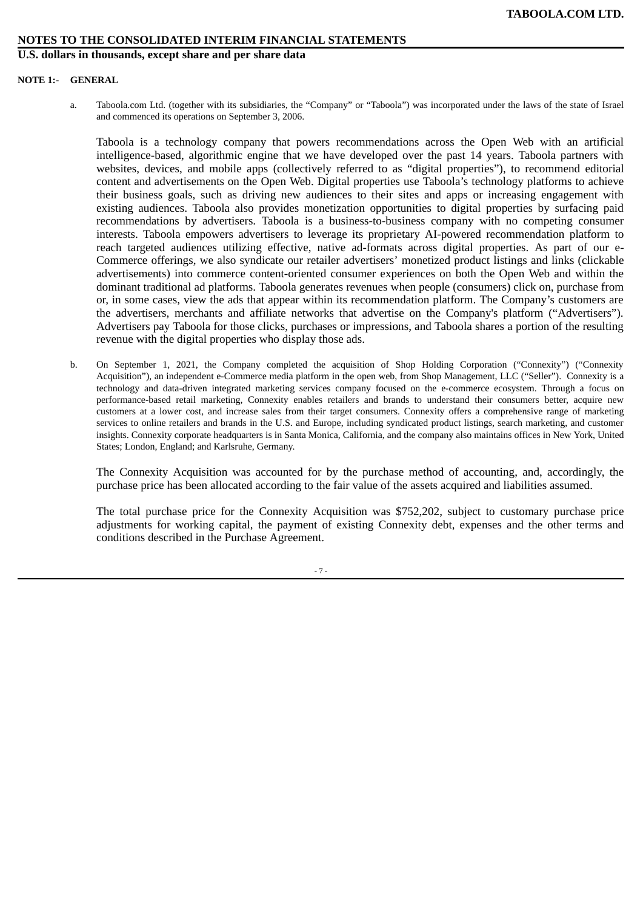**U.S. dollars in thousands, except share and per share data**

#### **NOTE 1:- GENERAL**

a. Taboola.com Ltd. (together with its subsidiaries, the "Company" or "Taboola") was incorporated under the laws of the state of Israel and commenced its operations on September 3, 2006.

Taboola is a technology company that powers recommendations across the Open Web with an artificial intelligence-based, algorithmic engine that we have developed over the past 14 years. Taboola partners with websites, devices, and mobile apps (collectively referred to as "digital properties"), to recommend editorial content and advertisements on the Open Web. Digital properties use Taboola's technology platforms to achieve their business goals, such as driving new audiences to their sites and apps or increasing engagement with existing audiences. Taboola also provides monetization opportunities to digital properties by surfacing paid recommendations by advertisers. Taboola is a business-to-business company with no competing consumer interests. Taboola empowers advertisers to leverage its proprietary AI-powered recommendation platform to reach targeted audiences utilizing effective, native ad-formats across digital properties. As part of our e-Commerce offerings, we also syndicate our retailer advertisers' monetized product listings and links (clickable advertisements) into commerce content-oriented consumer experiences on both the Open Web and within the dominant traditional ad platforms. Taboola generates revenues when people (consumers) click on, purchase from or, in some cases, view the ads that appear within its recommendation platform. The Company's customers are the advertisers, merchants and affiliate networks that advertise on the Company's platform ("Advertisers"). Advertisers pay Taboola for those clicks, purchases or impressions, and Taboola shares a portion of the resulting revenue with the digital properties who display those ads.

b. On September 1, 2021, the Company completed the acquisition of Shop Holding Corporation ("Connexity") ("Connexity Acquisition"), an independent e-Commerce media platform in the open web, from Shop Management, LLC ("Seller"). Connexity is a technology and data-driven integrated marketing services company focused on the e-commerce ecosystem. Through a focus on performance-based retail marketing, Connexity enables retailers and brands to understand their consumers better, acquire new customers at a lower cost, and increase sales from their target consumers. Connexity offers a comprehensive range of marketing services to online retailers and brands in the U.S. and Europe, including syndicated product listings, search marketing, and customer insights. Connexity corporate headquarters is in Santa Monica, California, and the company also maintains offices in New York, United States; London, England; and Karlsruhe, Germany.

The Connexity Acquisition was accounted for by the purchase method of accounting, and, accordingly, the purchase price has been allocated according to the fair value of the assets acquired and liabilities assumed.

The total purchase price for the Connexity Acquisition was \$752,202, subject to customary purchase price adjustments for working capital, the payment of existing Connexity debt, expenses and the other terms and conditions described in the Purchase Agreement.

- 7 -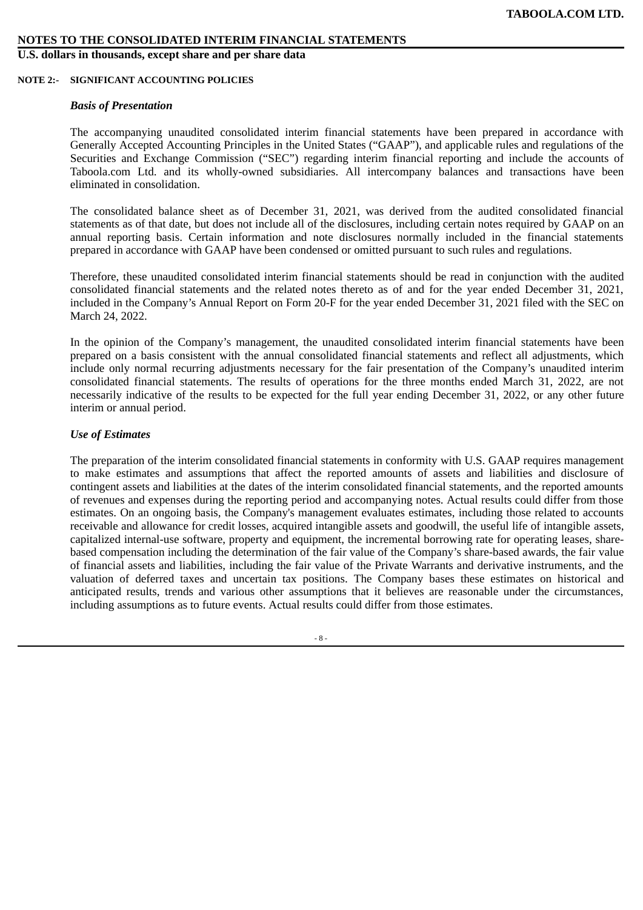**U.S. dollars in thousands, except share and per share data**

#### **NOTE 2:- SIGNIFICANT ACCOUNTING POLICIES**

#### *Basis of Presentation*

The accompanying unaudited consolidated interim financial statements have been prepared in accordance with Generally Accepted Accounting Principles in the United States ("GAAP"), and applicable rules and regulations of the Securities and Exchange Commission ("SEC") regarding interim financial reporting and include the accounts of Taboola.com Ltd. and its wholly-owned subsidiaries. All intercompany balances and transactions have been eliminated in consolidation.

The consolidated balance sheet as of December 31, 2021, was derived from the audited consolidated financial statements as of that date, but does not include all of the disclosures, including certain notes required by GAAP on an annual reporting basis. Certain information and note disclosures normally included in the financial statements prepared in accordance with GAAP have been condensed or omitted pursuant to such rules and regulations.

Therefore, these unaudited consolidated interim financial statements should be read in conjunction with the audited consolidated financial statements and the related notes thereto as of and for the year ended December 31, 2021, included in the Company's Annual Report on Form 20-F for the year ended December 31, 2021 filed with the SEC on March 24, 2022.

In the opinion of the Company's management, the unaudited consolidated interim financial statements have been prepared on a basis consistent with the annual consolidated financial statements and reflect all adjustments, which include only normal recurring adjustments necessary for the fair presentation of the Company's unaudited interim consolidated financial statements. The results of operations for the three months ended March 31, 2022, are not necessarily indicative of the results to be expected for the full year ending December 31, 2022, or any other future interim or annual period.

# *Use of Estimates*

The preparation of the interim consolidated financial statements in conformity with U.S. GAAP requires management to make estimates and assumptions that affect the reported amounts of assets and liabilities and disclosure of contingent assets and liabilities at the dates of the interim consolidated financial statements, and the reported amounts of revenues and expenses during the reporting period and accompanying notes. Actual results could differ from those estimates. On an ongoing basis, the Company's management evaluates estimates, including those related to accounts receivable and allowance for credit losses, acquired intangible assets and goodwill, the useful life of intangible assets, capitalized internal-use software, property and equipment, the incremental borrowing rate for operating leases, sharebased compensation including the determination of the fair value of the Company's share-based awards, the fair value of financial assets and liabilities, including the fair value of the Private Warrants and derivative instruments, and the valuation of deferred taxes and uncertain tax positions. The Company bases these estimates on historical and anticipated results, trends and various other assumptions that it believes are reasonable under the circumstances, including assumptions as to future events. Actual results could differ from those estimates.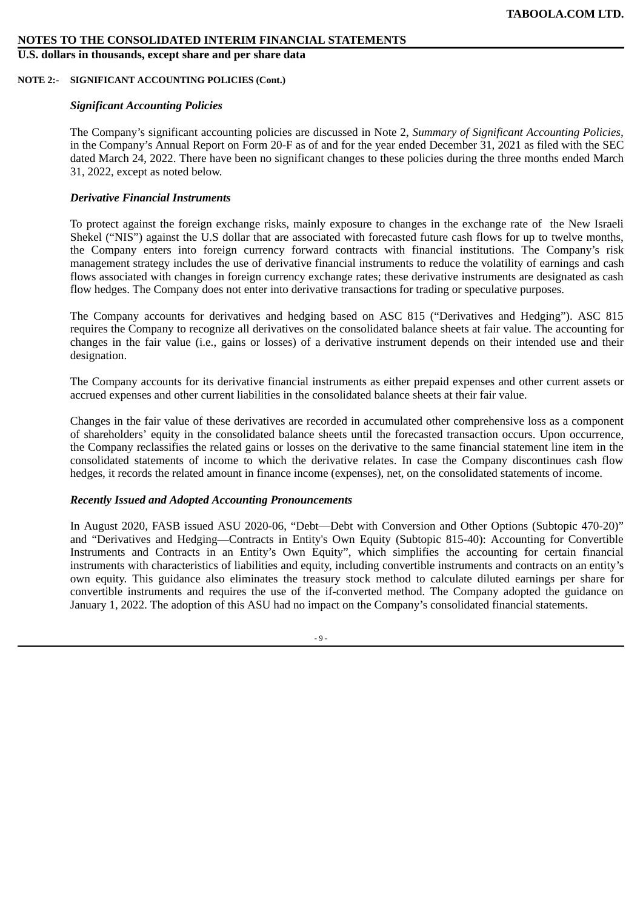**U.S. dollars in thousands, except share and per share data**

#### **NOTE 2:- SIGNIFICANT ACCOUNTING POLICIES (Cont.)**

# *Significant Accounting Policies*

The Company's significant accounting policies are discussed in Note 2, *Summary of Significant Accounting Policies,* in the Company's Annual Report on Form 20-F as of and for the year ended December 31, 2021 as filed with the SEC dated March 24, 2022. There have been no significant changes to these policies during the three months ended March 31, 2022, except as noted below.

# *Derivative Financial Instruments*

To protect against the foreign exchange risks, mainly exposure to changes in the exchange rate of the New Israeli Shekel ("NIS") against the U.S dollar that are associated with forecasted future cash flows for up to twelve months, the Company enters into foreign currency forward contracts with financial institutions. The Company's risk management strategy includes the use of derivative financial instruments to reduce the volatility of earnings and cash flows associated with changes in foreign currency exchange rates; these derivative instruments are designated as cash flow hedges. The Company does not enter into derivative transactions for trading or speculative purposes.

The Company accounts for derivatives and hedging based on ASC 815 ("Derivatives and Hedging"). ASC 815 requires the Company to recognize all derivatives on the consolidated balance sheets at fair value. The accounting for changes in the fair value (i.e., gains or losses) of a derivative instrument depends on their intended use and their designation.

The Company accounts for its derivative financial instruments as either prepaid expenses and other current assets or accrued expenses and other current liabilities in the consolidated balance sheets at their fair value.

Changes in the fair value of these derivatives are recorded in accumulated other comprehensive loss as a component of shareholders' equity in the consolidated balance sheets until the forecasted transaction occurs. Upon occurrence, the Company reclassifies the related gains or losses on the derivative to the same financial statement line item in the consolidated statements of income to which the derivative relates. In case the Company discontinues cash flow hedges, it records the related amount in finance income (expenses), net, on the consolidated statements of income.

# *Recently Issued and Adopted Accounting Pronouncements*

In August 2020, FASB issued ASU 2020-06, "Debt—Debt with Conversion and Other Options (Subtopic 470-20)" and "Derivatives and Hedging—Contracts in Entity's Own Equity (Subtopic 815-40): Accounting for Convertible Instruments and Contracts in an Entity's Own Equity", which simplifies the accounting for certain financial instruments with characteristics of liabilities and equity, including convertible instruments and contracts on an entity's own equity. This guidance also eliminates the treasury stock method to calculate diluted earnings per share for convertible instruments and requires the use of the if-converted method. The Company adopted the guidance on January 1, 2022. The adoption of this ASU had no impact on the Company's consolidated financial statements.

 $-9 -$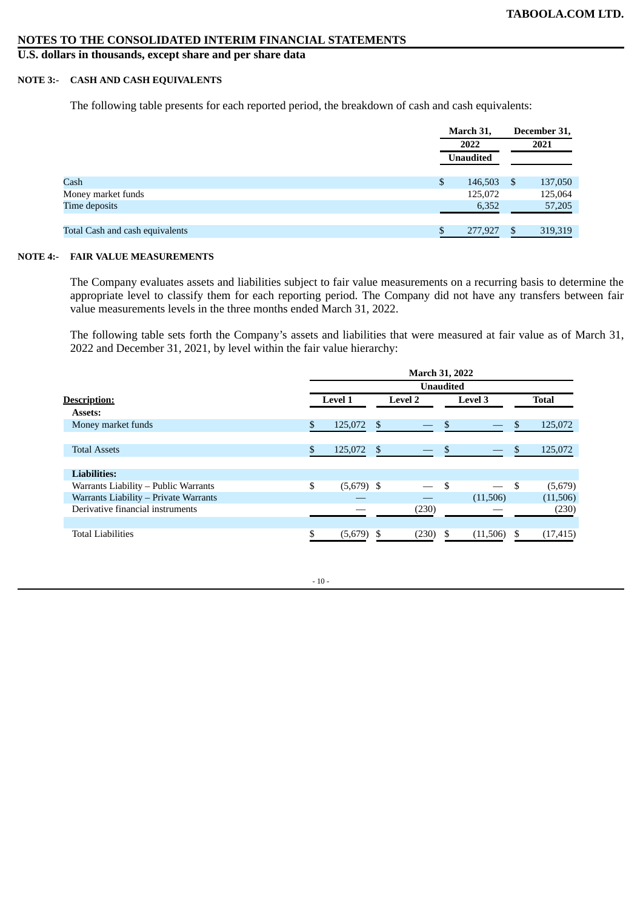**U.S. dollars in thousands, except share and per share data**

# **NOTE 3:- CASH AND CASH EQUIVALENTS**

The following table presents for each reported period, the breakdown of cash and cash equivalents:

|                                 | March 31,        | December 31, |         |  |
|---------------------------------|------------------|--------------|---------|--|
|                                 | 2022             |              | 2021    |  |
|                                 | <b>Unaudited</b> |              |         |  |
| Cash                            | \$<br>146,503    | -S           | 137,050 |  |
| Money market funds              | 125,072          |              | 125,064 |  |
| Time deposits                   | 6,352            |              | 57,205  |  |
| Total Cash and cash equivalents | 277,927          | S            | 319,319 |  |
|                                 |                  |              |         |  |

#### **NOTE 4:- FAIR VALUE MEASUREMENTS**

The Company evaluates assets and liabilities subject to fair value measurements on a recurring basis to determine the appropriate level to classify them for each reporting period. The Company did not have any transfers between fair value measurements levels in the three months ended March 31, 2022.

The following table sets forth the Company's assets and liabilities that were measured at fair value as of March 31, 2022 and December 31, 2021, by level within the fair value hierarchy:

|                                       | <b>March 31, 2022</b> |                |                  |                |          |    |              |  |  |  |
|---------------------------------------|-----------------------|----------------|------------------|----------------|----------|----|--------------|--|--|--|
|                                       |                       |                | <b>Unaudited</b> |                |          |    |              |  |  |  |
| Description:                          | <b>Level 1</b>        | <b>Level 2</b> |                  | <b>Level 3</b> |          |    | <b>Total</b> |  |  |  |
| Assets:                               |                       |                |                  |                |          |    |              |  |  |  |
| Money market funds                    | \$<br>125,072         | - \$           |                  | \$             |          | \$ | 125,072      |  |  |  |
|                                       |                       |                |                  |                |          |    |              |  |  |  |
| <b>Total Assets</b>                   | \$<br>125,072         | - \$           |                  | $\mathcal{S}$  |          | \$ | 125,072      |  |  |  |
|                                       |                       |                |                  |                |          |    |              |  |  |  |
| <b>Liabilities:</b>                   |                       |                |                  |                |          |    |              |  |  |  |
| Warrants Liability - Public Warrants  | \$<br>$(5,679)$ \$    |                |                  | \$             |          | \$ | (5,679)      |  |  |  |
| Warrants Liability - Private Warrants |                       |                |                  |                | (11,506) |    | (11,506)     |  |  |  |
| Derivative financial instruments      |                       |                | (230)            |                |          |    | (230)        |  |  |  |
|                                       |                       |                |                  |                |          |    |              |  |  |  |
| <b>Total Liabilities</b>              | $(5,679)$ \$          |                | (230)            | -\$            | (11,506) | -S | (17, 415)    |  |  |  |
|                                       |                       |                |                  |                |          |    |              |  |  |  |

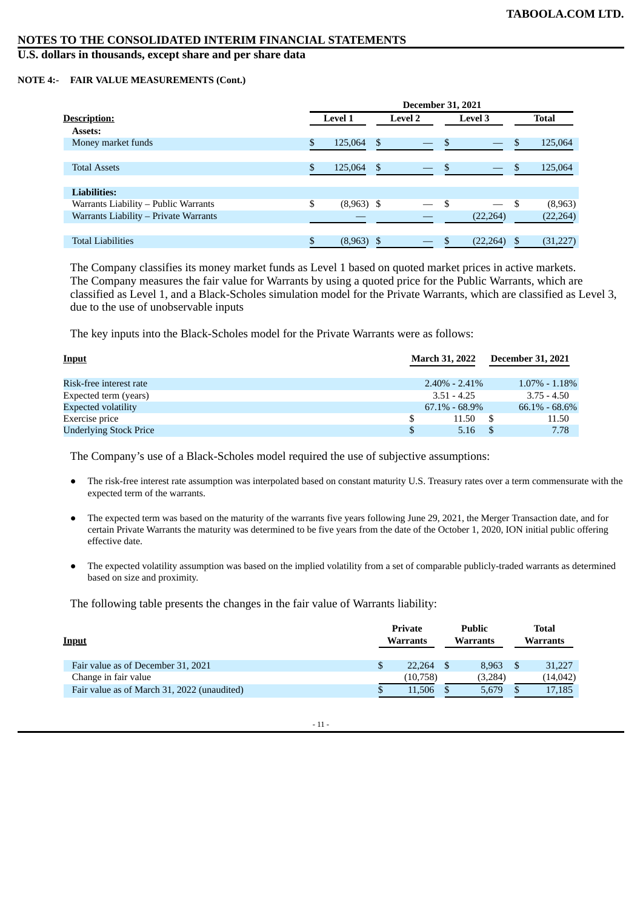# **U.S. dollars in thousands, except share and per share data**

#### **NOTE 4:- FAIR VALUE MEASUREMENTS (Cont.)**

|                                       | <b>December 31, 2021</b> |                |     |                          |     |                |    |              |  |  |  |
|---------------------------------------|--------------------------|----------------|-----|--------------------------|-----|----------------|----|--------------|--|--|--|
| <u>Description:</u>                   |                          | <b>Level 1</b> |     | <b>Level 2</b>           |     | <b>Level 3</b> |    | <b>Total</b> |  |  |  |
| Assets:                               |                          |                |     |                          |     |                |    |              |  |  |  |
| Money market funds                    | \$.                      | 125,064        | \$  |                          | -\$ |                | -S | 125,064      |  |  |  |
|                                       |                          |                |     |                          |     |                |    |              |  |  |  |
| <b>Total Assets</b>                   |                          | 125,064        | \$. | $\overline{\phantom{0}}$ |     |                |    | 125,064      |  |  |  |
|                                       |                          |                |     |                          |     |                |    |              |  |  |  |
| <b>Liabilities:</b>                   |                          |                |     |                          |     |                |    |              |  |  |  |
| Warrants Liability - Public Warrants  | S                        | $(8,963)$ \$   |     |                          |     |                | S  | (8,963)      |  |  |  |
| Warrants Liability - Private Warrants |                          |                |     |                          |     | (22, 264)      |    | (22, 264)    |  |  |  |
|                                       |                          |                |     |                          |     |                |    |              |  |  |  |
| <b>Total Liabilities</b>              |                          | (8,963)        |     |                          |     | (22, 264)      |    | (31, 227)    |  |  |  |
|                                       |                          |                |     |                          |     |                |    |              |  |  |  |

The Company classifies its money market funds as Level 1 based on quoted market prices in active markets. The Company measures the fair value for Warrants by using a quoted price for the Public Warrants, which are classified as Level 1, and a Black-Scholes simulation model for the Private Warrants, which are classified as Level 3, due to the use of unobservable inputs

The key inputs into the Black-Scholes model for the Private Warrants were as follows:

| <u>Input</u>                  |     | <b>March 31, 2022</b> | <b>December 31, 2021</b> |                     |
|-------------------------------|-----|-----------------------|--------------------------|---------------------|
| Risk-free interest rate       |     | $2.40\% - 2.41\%$     |                          | $1.07\%$ - $1.18\%$ |
| Expected term (years)         |     | $3.51 - 4.25$         |                          | $3.75 - 4.50$       |
| Expected volatility           |     | $67.1\%$ - $68.9\%$   |                          | $66.1\% - 68.6\%$   |
| Exercise price                | \$. | 11.50                 | - S                      | 11.50               |
| <b>Underlying Stock Price</b> | \$  | 5.16                  |                          | 7.78                |

The Company's use of a Black-Scholes model required the use of subjective assumptions:

- The risk-free interest rate assumption was interpolated based on constant maturity U.S. Treasury rates over a term commensurate with the expected term of the warrants.
- The expected term was based on the maturity of the warrants five years following June 29, 2021, the Merger Transaction date, and for certain Private Warrants the maturity was determined to be five years from the date of the October 1, 2020, ION initial public offering effective date.
- The expected volatility assumption was based on the implied volatility from a set of comparable publicly-traded warrants as determined based on size and proximity.

The following table presents the changes in the fair value of Warrants liability:

| <b>Input</b>                                | Private<br><b>Warrants</b> | Public<br><b>Warrants</b> | Total<br><b>Warrants</b> |
|---------------------------------------------|----------------------------|---------------------------|--------------------------|
| Fair value as of December 31, 2021          | 22.264                     | 8.963                     | 31,227                   |
| Change in fair value                        | (10, 758)                  | (3,284)                   | (14,042)                 |
| Fair value as of March 31, 2022 (unaudited) | 11.506                     | 5.679                     | 17,185                   |

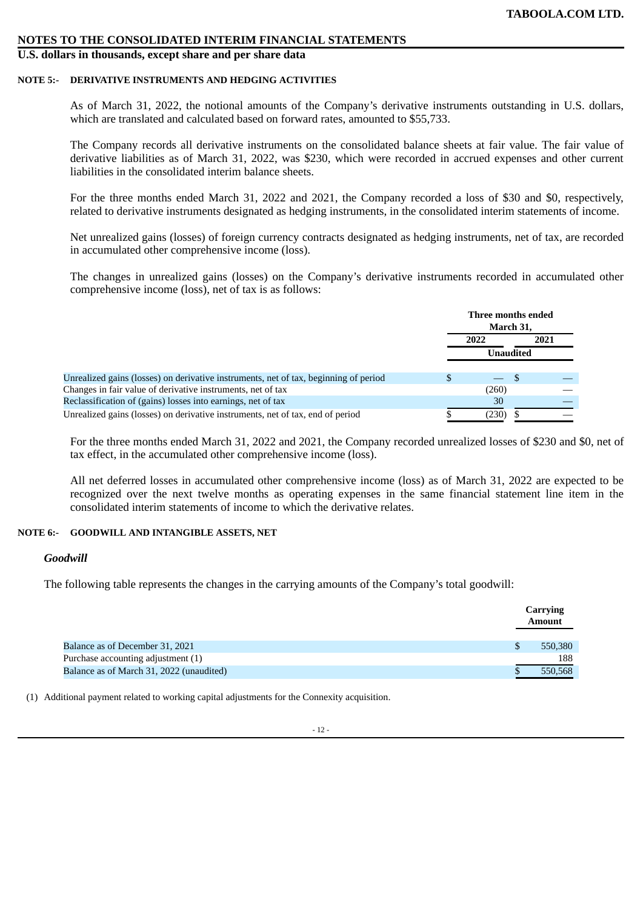# **U.S. dollars in thousands, except share and per share data**

#### **NOTE 5:- DERIVATIVE INSTRUMENTS AND HEDGING ACTIVITIES**

As of March 31, 2022, the notional amounts of the Company's derivative instruments outstanding in U.S. dollars, which are translated and calculated based on forward rates, amounted to \$55,733.

The Company records all derivative instruments on the consolidated balance sheets at fair value. The fair value of derivative liabilities as of March 31, 2022, was \$230, which were recorded in accrued expenses and other current liabilities in the consolidated interim balance sheets.

For the three months ended March 31, 2022 and 2021, the Company recorded a loss of \$30 and \$0, respectively, related to derivative instruments designated as hedging instruments, in the consolidated interim statements of income.

Net unrealized gains (losses) of foreign currency contracts designated as hedging instruments, net of tax, are recorded in accumulated other comprehensive income (loss).

The changes in unrealized gains (losses) on the Company's derivative instruments recorded in accumulated other comprehensive income (loss), net of tax is as follows:

|                                                                                      | Three months ended<br>March 31, |  |  |
|--------------------------------------------------------------------------------------|---------------------------------|--|--|
|                                                                                      | 2021<br>2022                    |  |  |
|                                                                                      | Unaudited                       |  |  |
| Unrealized gains (losses) on derivative instruments, net of tax, beginning of period | -85                             |  |  |
| Changes in fair value of derivative instruments, net of tax                          | (260)                           |  |  |
| Reclassification of (gains) losses into earnings, net of tax                         | 30                              |  |  |
| Unrealized gains (losses) on derivative instruments, net of tax, end of period       | (230)                           |  |  |

For the three months ended March 31, 2022 and 2021, the Company recorded unrealized losses of \$230 and \$0, net of tax effect, in the accumulated other comprehensive income (loss).

All net deferred losses in accumulated other comprehensive income (loss) as of March 31, 2022 are expected to be recognized over the next twelve months as operating expenses in the same financial statement line item in the consolidated interim statements of income to which the derivative relates.

#### **NOTE 6:- GOODWILL AND INTANGIBLE ASSETS, NET**

#### *Goodwill*

The following table represents the changes in the carrying amounts of the Company's total goodwill:

|                                          | Carrying<br><b>Amount</b> |
|------------------------------------------|---------------------------|
| Balance as of December 31, 2021          | 550,380                   |
| Purchase accounting adjustment (1)       | 188                       |
| Balance as of March 31, 2022 (unaudited) | 550.568                   |

(1) Additional payment related to working capital adjustments for the Connexity acquisition.

 $-12-$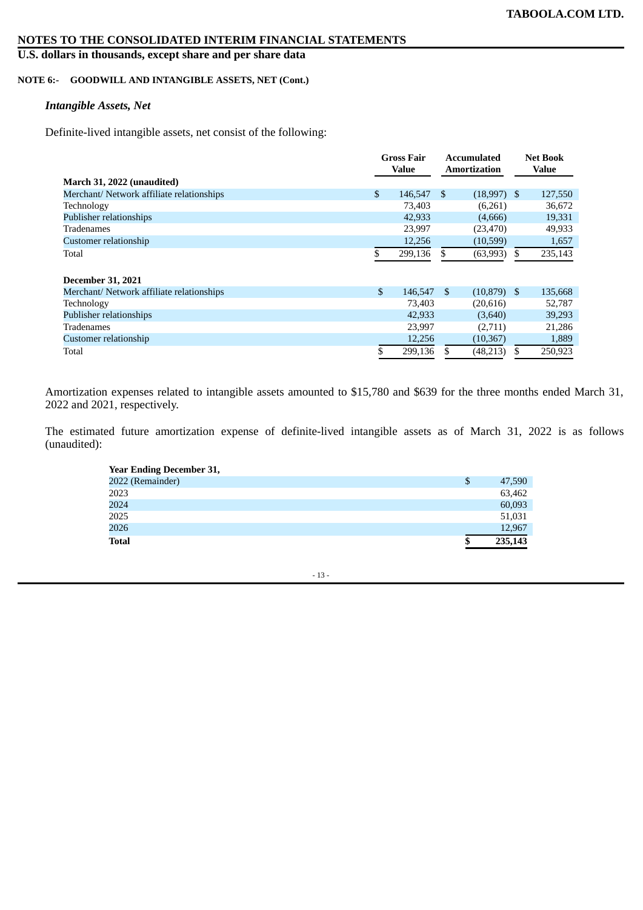# **U.S. dollars in thousands, except share and per share data**

# **NOTE 6:- GOODWILL AND INTANGIBLE ASSETS, NET (Cont.)**

# *Intangible Assets, Net*

Definite-lived intangible assets, net consist of the following:

|                                           | <b>Gross Fair</b> |      | <b>Accumulated</b> |     | <b>Net Book</b> |
|-------------------------------------------|-------------------|------|--------------------|-----|-----------------|
|                                           | Value             |      | Amortization       |     | <b>Value</b>    |
| March 31, 2022 (unaudited)                |                   |      |                    |     |                 |
| Merchant/ Network affiliate relationships | \$<br>146,547     | \$   | $(18,997)$ \$      |     | 127,550         |
| Technology                                | 73,403            |      | (6,261)            |     | 36,672          |
| Publisher relationships                   | 42,933            |      | (4,666)            |     | 19,331          |
| Tradenames                                | 23,997            |      | (23, 470)          |     | 49,933          |
| Customer relationship                     | 12,256            |      | (10, 599)          |     | 1,657           |
| Total                                     | 299,136           | \$.  | (63,993)           | \$  | 235,143         |
| <b>December 31, 2021</b>                  |                   |      |                    |     |                 |
| Merchant/ Network affiliate relationships | \$<br>146,547     | - \$ | $(10,879)$ \$      |     | 135,668         |
| Technology                                | 73,403            |      | (20,616)           |     | 52,787          |
| Publisher relationships                   | 42,933            |      | (3,640)            |     | 39,293          |
| Tradenames                                | 23,997            |      | (2,711)            |     | 21,286          |
| Customer relationship                     | 12,256            |      | (10, 367)          |     | 1,889           |
| Total                                     | \$<br>299.136     | \$.  | (48, 213)          | \$. | 250,923         |

Amortization expenses related to intangible assets amounted to \$15,780 and \$639 for the three months ended March 31, 2022 and 2021, respectively.

The estimated future amortization expense of definite-lived intangible assets as of March 31, 2022 is as follows (unaudited):

| <b>Year Ending December 31,</b> |   |         |
|---------------------------------|---|---------|
| 2022 (Remainder)                | S | 47,590  |
| 2023                            |   | 63,462  |
| 2024                            |   | 60,093  |
| 2025                            |   | 51,031  |
| 2026                            |   | 12.967  |
| <b>Total</b>                    |   | 235,143 |

- 13 -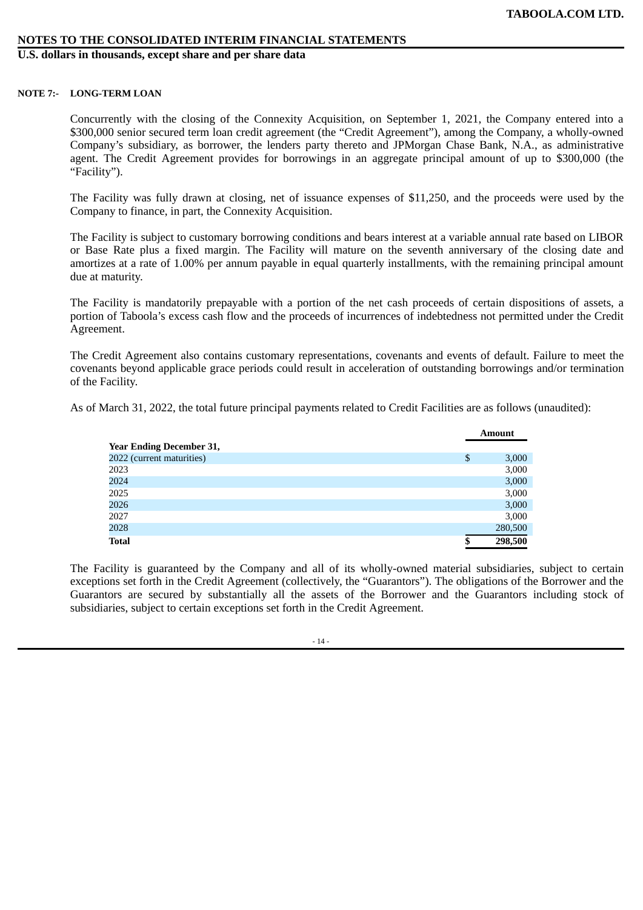**U.S. dollars in thousands, except share and per share data**

#### **NOTE 7:- LONG-TERM LOAN**

Concurrently with the closing of the Connexity Acquisition, on September 1, 2021, the Company entered into a \$300,000 senior secured term loan credit agreement (the "Credit Agreement"), among the Company, a wholly-owned Company's subsidiary, as borrower, the lenders party thereto and JPMorgan Chase Bank, N.A., as administrative agent. The Credit Agreement provides for borrowings in an aggregate principal amount of up to \$300,000 (the "Facility").

The Facility was fully drawn at closing, net of issuance expenses of \$11,250, and the proceeds were used by the Company to finance, in part, the Connexity Acquisition.

The Facility is subject to customary borrowing conditions and bears interest at a variable annual rate based on LIBOR or Base Rate plus a fixed margin. The Facility will mature on the seventh anniversary of the closing date and amortizes at a rate of 1.00% per annum payable in equal quarterly installments, with the remaining principal amount due at maturity.

The Facility is mandatorily prepayable with a portion of the net cash proceeds of certain dispositions of assets, a portion of Taboola's excess cash flow and the proceeds of incurrences of indebtedness not permitted under the Credit Agreement.

The Credit Agreement also contains customary representations, covenants and events of default. Failure to meet the covenants beyond applicable grace periods could result in acceleration of outstanding borrowings and/or termination of the Facility.

As of March 31, 2022, the total future principal payments related to Credit Facilities are as follows (unaudited):

|                                 | Amount        |
|---------------------------------|---------------|
| <b>Year Ending December 31,</b> |               |
| 2022 (current maturities)       | \$<br>3,000   |
| 2023                            | 3,000         |
| 2024                            | 3,000         |
| 2025                            | 3,000         |
| 2026                            | 3,000         |
| 2027                            | 3,000         |
| 2028                            | 280,500       |
| <b>Total</b>                    | \$<br>298,500 |

The Facility is guaranteed by the Company and all of its wholly-owned material subsidiaries, subject to certain exceptions set forth in the Credit Agreement (collectively, the "Guarantors"). The obligations of the Borrower and the Guarantors are secured by substantially all the assets of the Borrower and the Guarantors including stock of subsidiaries, subject to certain exceptions set forth in the Credit Agreement.

 $-14$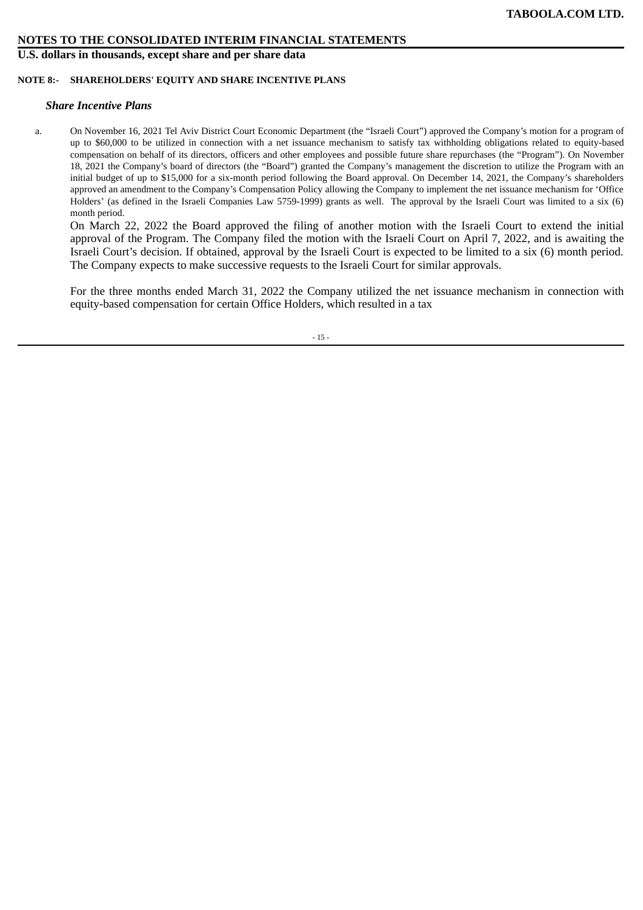**U.S. dollars in thousands, except share and per share data**

#### **NOTE 8:- SHAREHOLDERS' EQUITY AND SHARE INCENTIVE PLANS**

#### *Share Incentive Plans*

a. On November 16, 2021 Tel Aviv District Court Economic Department (the "Israeli Court") approved the Company's motion for a program of up to \$60,000 to be utilized in connection with a net issuance mechanism to satisfy tax withholding obligations related to equity-based compensation on behalf of its directors, officers and other employees and possible future share repurchases (the "Program"). On November 18, 2021 the Company's board of directors (the "Board") granted the Company's management the discretion to utilize the Program with an initial budget of up to \$15,000 for a six-month period following the Board approval. On December 14, 2021, the Company's shareholders approved an amendment to the Company's Compensation Policy allowing the Company to implement the net issuance mechanism for 'Office Holders' (as defined in the Israeli Companies Law 5759-1999) grants as well. The approval by the Israeli Court was limited to a six (6) month period.

On March 22, 2022 the Board approved the filing of another motion with the Israeli Court to extend the initial approval of the Program. The Company filed the motion with the Israeli Court on April 7, 2022, and is awaiting the Israeli Court's decision. If obtained, approval by the Israeli Court is expected to be limited to a six (6) month period. The Company expects to make successive requests to the Israeli Court for similar approvals.

For the three months ended March 31, 2022 the Company utilized the net issuance mechanism in connection with equity-based compensation for certain Office Holders, which resulted in a tax

- 15 -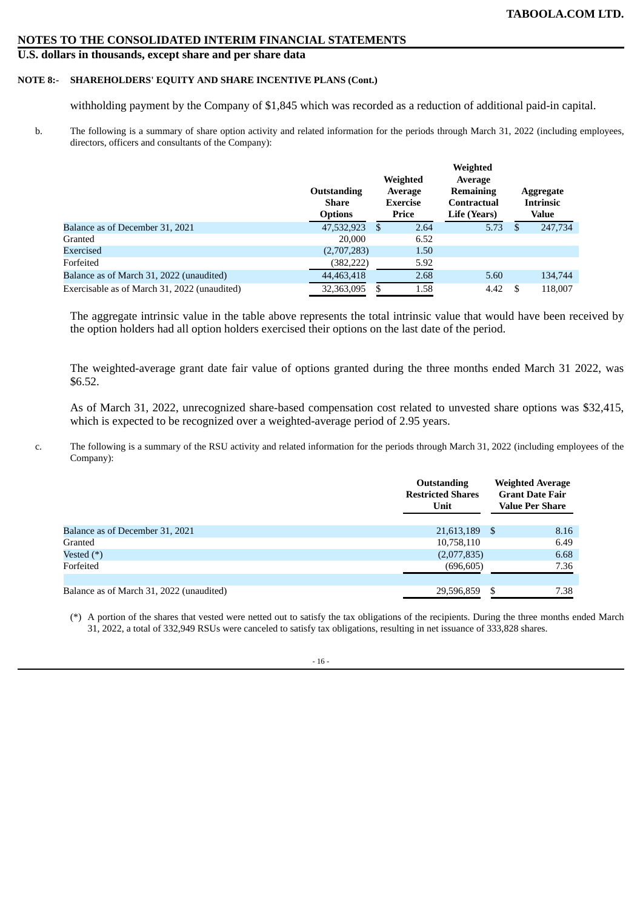# **U.S. dollars in thousands, except share and per share data**

# **NOTE 8:- SHAREHOLDERS' EQUITY AND SHARE INCENTIVE PLANS (Cont.)**

withholding payment by the Company of \$1,845 which was recorded as a reduction of additional paid-in capital.

b. The following is a summary of share option activity and related information for the periods through March 31, 2022 (including employees, directors, officers and consultants of the Company):

|                                              | Outstanding<br>Share<br><b>Options</b> | Weighted<br>Average<br><b>Exercise</b><br>Price |      | Weighted<br>Average<br><b>Remaining</b><br>Contractual<br>Life (Years) |    | Aggregate<br><b>Intrinsic</b><br>Value |
|----------------------------------------------|----------------------------------------|-------------------------------------------------|------|------------------------------------------------------------------------|----|----------------------------------------|
| Balance as of December 31, 2021              | 47,532,923                             | -S                                              | 2.64 | 5.73                                                                   | S  | 247,734                                |
| Granted                                      | 20,000                                 |                                                 | 6.52 |                                                                        |    |                                        |
| Exercised                                    | (2,707,283)                            |                                                 | 1.50 |                                                                        |    |                                        |
| Forfeited                                    | (382,222)                              |                                                 | 5.92 |                                                                        |    |                                        |
| Balance as of March 31, 2022 (unaudited)     | 44,463,418                             |                                                 | 2.68 | 5.60                                                                   |    | 134,744                                |
| Exercisable as of March 31, 2022 (unaudited) | 32,363,095                             |                                                 | 1.58 | 4.42                                                                   | -S | 118,007                                |

The aggregate intrinsic value in the table above represents the total intrinsic value that would have been received by the option holders had all option holders exercised their options on the last date of the period.

The weighted-average grant date fair value of options granted during the three months ended March 31 2022, was \$6.52.

As of March 31, 2022, unrecognized share-based compensation cost related to unvested share options was \$32,415, which is expected to be recognized over a weighted-average period of 2.95 years.

c. The following is a summary of the RSU activity and related information for the periods through March 31, 2022 (including employees of the Company):

|                                          | <b>Outstanding</b><br><b>Restricted Shares</b><br>Unit | <b>Weighted Average</b><br><b>Grant Date Fair</b><br><b>Value Per Share</b> |
|------------------------------------------|--------------------------------------------------------|-----------------------------------------------------------------------------|
| Balance as of December 31, 2021          | 21,613,189                                             | 8.16<br>- S                                                                 |
| Granted                                  | 10,758,110                                             | 6.49                                                                        |
| Vested $(*)$                             | (2,077,835)                                            | 6.68                                                                        |
| Forfeited                                | (696, 605)                                             | 7.36                                                                        |
|                                          |                                                        |                                                                             |
| Balance as of March 31, 2022 (unaudited) | 29,596,859                                             | S<br>7.38                                                                   |

(\*) A portion of the shares that vested were netted out to satisfy the tax obligations of the recipients. During the three months ended March 31, 2022, a total of 332,949 RSUs were canceled to satisfy tax obligations, resulting in net issuance of 333,828 shares.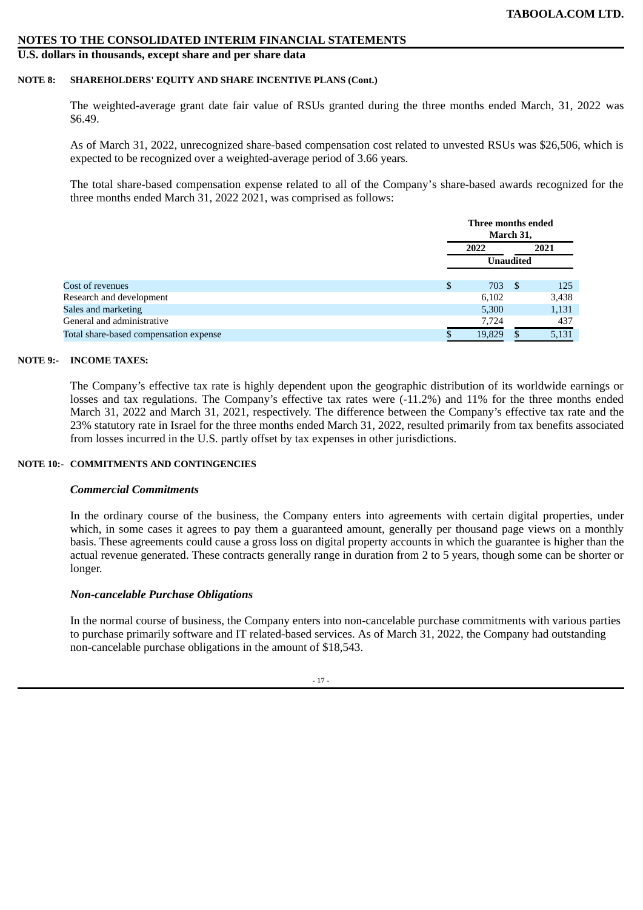# **U.S. dollars in thousands, except share and per share data**

#### **NOTE 8: SHAREHOLDERS' EQUITY AND SHARE INCENTIVE PLANS (Cont.)**

The weighted-average grant date fair value of RSUs granted during the three months ended March, 31, 2022 was \$6.49.

As of March 31, 2022, unrecognized share-based compensation cost related to unvested RSUs was \$26,506, which is expected to be recognized over a weighted-average period of 3.66 years.

The total share-based compensation expense related to all of the Company's share-based awards recognized for the three months ended March 31, 2022 2021, was comprised as follows:

|                                        | Three months ended<br>March 31, |   |       |  |
|----------------------------------------|---------------------------------|---|-------|--|
|                                        | 2022                            |   | 2021  |  |
|                                        | <b>Unaudited</b>                |   |       |  |
| Cost of revenues                       | \$<br>703                       | S | 125   |  |
| Research and development               | 6,102                           |   | 3,438 |  |
| Sales and marketing                    | 5,300                           |   | 1,131 |  |
| General and administrative             | 7,724                           |   | 437   |  |
| Total share-based compensation expense | 19,829                          |   | 5,131 |  |

#### **NOTE 9:- INCOME TAXES:**

The Company's effective tax rate is highly dependent upon the geographic distribution of its worldwide earnings or losses and tax regulations. The Company's effective tax rates were (-11.2%) and 11% for the three months ended March 31, 2022 and March 31, 2021, respectively. The difference between the Company's effective tax rate and the 23% statutory rate in Israel for the three months ended March 31, 2022, resulted primarily from tax benefits associated from losses incurred in the U.S. partly offset by tax expenses in other jurisdictions.

#### **NOTE 10:- COMMITMENTS AND CONTINGENCIES**

# *Commercial Commitments*

In the ordinary course of the business, the Company enters into agreements with certain digital properties, under which, in some cases it agrees to pay them a guaranteed amount, generally per thousand page views on a monthly basis. These agreements could cause a gross loss on digital property accounts in which the guarantee is higher than the actual revenue generated. These contracts generally range in duration from 2 to 5 years, though some can be shorter or longer.

# *Non-cancelable Purchase Obligations*

In the normal course of business, the Company enters into non-cancelable purchase commitments with various parties to purchase primarily software and IT related-based services. As of March 31, 2022, the Company had outstanding non-cancelable purchase obligations in the amount of \$18,543.

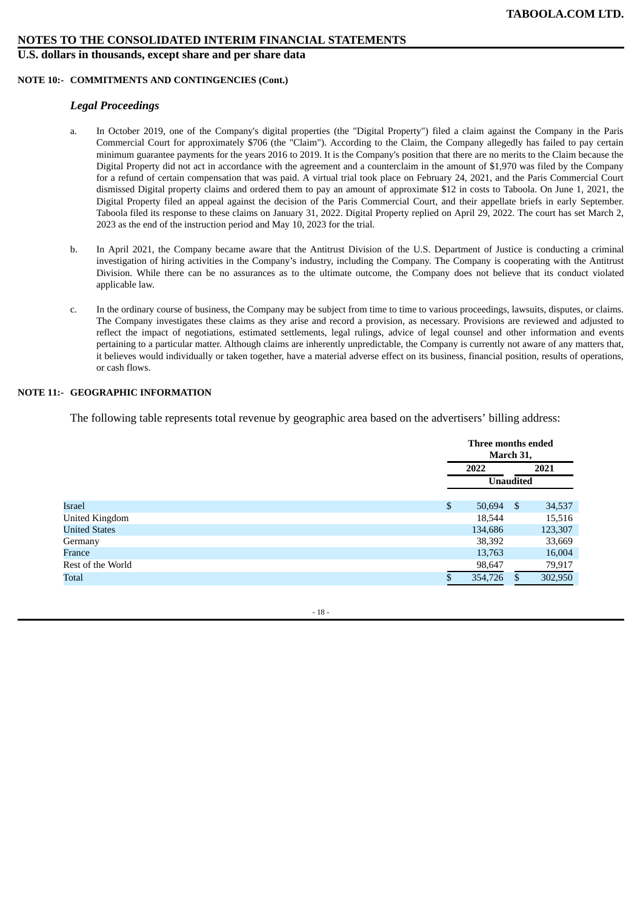#### **U.S. dollars in thousands, except share and per share data**

#### **NOTE 10:- COMMITMENTS AND CONTINGENCIES (Cont.)**

#### *Legal Proceedings*

- a. In October 2019, one of the Company's digital properties (the "Digital Property") filed a claim against the Company in the Paris Commercial Court for approximately \$706 (the "Claim"). According to the Claim, the Company allegedly has failed to pay certain minimum guarantee payments for the years 2016 to 2019. It is the Company's position that there are no merits to the Claim because the Digital Property did not act in accordance with the agreement and a counterclaim in the amount of \$1,970 was filed by the Company for a refund of certain compensation that was paid. A virtual trial took place on February 24, 2021, and the Paris Commercial Court dismissed Digital property claims and ordered them to pay an amount of approximate \$12 in costs to Taboola. On June 1, 2021, the Digital Property filed an appeal against the decision of the Paris Commercial Court, and their appellate briefs in early September. Taboola filed its response to these claims on January 31, 2022. Digital Property replied on April 29, 2022. The court has set March 2, 2023 as the end of the instruction period and May 10, 2023 for the trial.
- b. In April 2021, the Company became aware that the Antitrust Division of the U.S. Department of Justice is conducting a criminal investigation of hiring activities in the Company's industry, including the Company. The Company is cooperating with the Antitrust Division. While there can be no assurances as to the ultimate outcome, the Company does not believe that its conduct violated applicable law.
- c. In the ordinary course of business, the Company may be subject from time to time to various proceedings, lawsuits, disputes, or claims. The Company investigates these claims as they arise and record a provision, as necessary. Provisions are reviewed and adjusted to reflect the impact of negotiations, estimated settlements, legal rulings, advice of legal counsel and other information and events pertaining to a particular matter. Although claims are inherently unpredictable, the Company is currently not aware of any matters that, it believes would individually or taken together, have a material adverse effect on its business, financial position, results of operations, or cash flows.

# **NOTE 11:- GEOGRAPHIC INFORMATION**

The following table represents total revenue by geographic area based on the advertisers' billing address:

|                       | Three months ended<br>March 31, |  |         |
|-----------------------|---------------------------------|--|---------|
|                       | 2022                            |  | 2021    |
|                       | <b>Unaudited</b>                |  |         |
| <b>Israel</b>         | \$<br>$50,694$ \$               |  | 34,537  |
| <b>United Kingdom</b> | 18,544                          |  | 15,516  |
| <b>United States</b>  | 134,686                         |  | 123,307 |
| Germany               | 38,392                          |  | 33,669  |
| France                | 13,763                          |  | 16,004  |
| Rest of the World     | 98,647                          |  | 79,917  |
| Total                 | 354,726                         |  | 302,950 |

- 18 -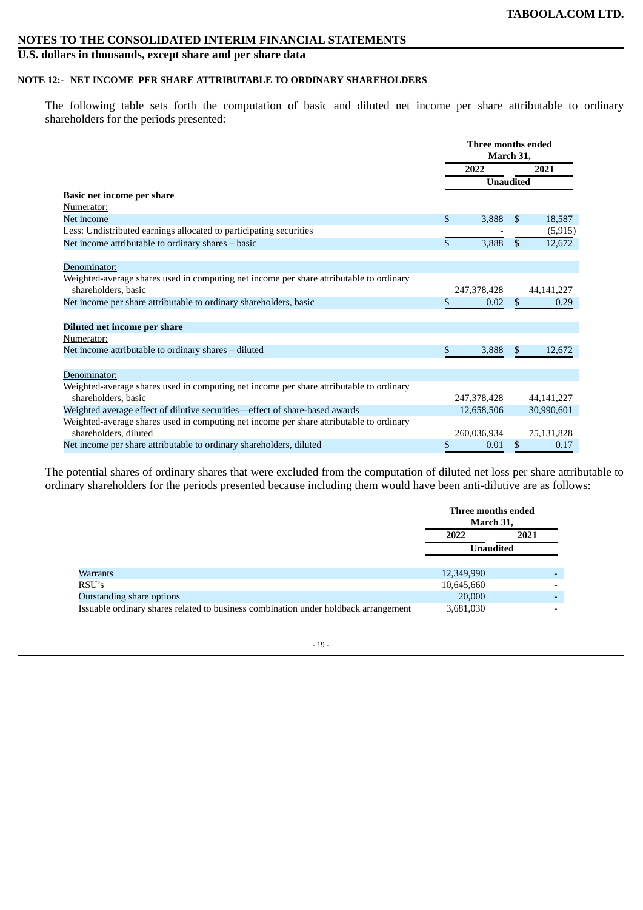# **U.S. dollars in thousands, except share and per share data**

# **NOTE 12:- NET INCOME PER SHARE ATTRIBUTABLE TO ORDINARY SHAREHOLDERS**

The following table sets forth the computation of basic and diluted net income per share attributable to ordinary shareholders for the periods presented:

|                                                                                                                | Three months ended<br>March 31, |                  |                |              |
|----------------------------------------------------------------------------------------------------------------|---------------------------------|------------------|----------------|--------------|
|                                                                                                                |                                 | 2022             | 2021           |              |
|                                                                                                                |                                 | <b>Unaudited</b> |                |              |
| <b>Basic net income per share</b>                                                                              |                                 |                  |                |              |
| Numerator:                                                                                                     |                                 |                  |                |              |
| Net income                                                                                                     | $\mathfrak{S}$                  | 3,888            | \$             | 18,587       |
| Less: Undistributed earnings allocated to participating securities                                             |                                 |                  |                | (5, 915)     |
| Net income attributable to ordinary shares - basic                                                             | \$                              | 3,888            | $\mathbb{S}$   | 12,672       |
| Denominator:                                                                                                   |                                 |                  |                |              |
| Weighted-average shares used in computing net income per share attributable to ordinary<br>shareholders, basic |                                 | 247,378,428      |                | 44, 141, 227 |
| Net income per share attributable to ordinary shareholders, basic                                              | \$                              | 0.02             | $\mathfrak{S}$ | 0.29         |
| Diluted net income per share                                                                                   |                                 |                  |                |              |
| Numerator:                                                                                                     |                                 |                  |                |              |
| Net income attributable to ordinary shares - diluted                                                           | \$                              | 3,888            | \$             | 12,672       |
| Denominator:                                                                                                   |                                 |                  |                |              |
| Weighted-average shares used in computing net income per share attributable to ordinary<br>shareholders, basic |                                 | 247,378,428      |                | 44, 141, 227 |
| Weighted average effect of dilutive securities—effect of share-based awards                                    |                                 | 12,658,506       |                | 30,990,601   |
| Weighted-average shares used in computing net income per share attributable to ordinary                        |                                 |                  |                |              |
| shareholders, diluted                                                                                          |                                 | 260,036,934      |                | 75,131,828   |
| Net income per share attributable to ordinary shareholders, diluted                                            | \$                              | 0.01             | \$             | 0.17         |

The potential shares of ordinary shares that were excluded from the computation of diluted net loss per share attributable to ordinary shareholders for the periods presented because including them would have been anti-dilutive are as follows:

|                                                                                     | Three months ended<br>March 31, |                          |  |
|-------------------------------------------------------------------------------------|---------------------------------|--------------------------|--|
|                                                                                     | 2022                            | 2021                     |  |
|                                                                                     | <b>Unaudited</b>                |                          |  |
| Warrants                                                                            | 12,349,990                      |                          |  |
| RSU's                                                                               | 10,645,660                      | $\overline{\phantom{a}}$ |  |
| Outstanding share options                                                           | 20,000                          |                          |  |
| Issuable ordinary shares related to business combination under holdback arrangement | 3,681,030                       | $\overline{\phantom{0}}$ |  |

- 19 -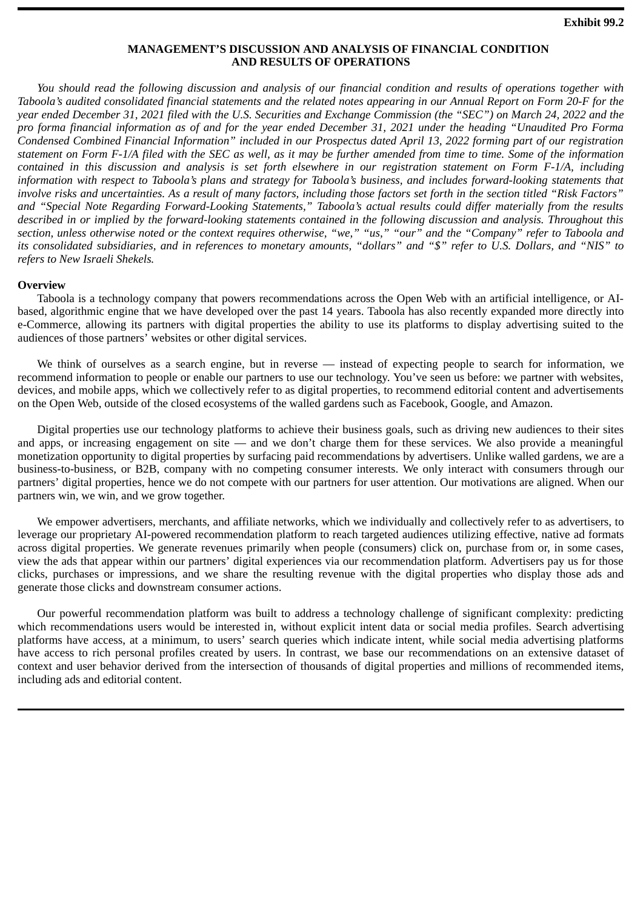# **MANAGEMENT'S DISCUSSION AND ANALYSIS OF FINANCIAL CONDITION AND RESULTS OF OPERATIONS**

<span id="page-21-0"></span>*You should read the following discussion and analysis of our financial condition and results of operations together with Taboola's audited consolidated financial statements and the related notes appearing in our Annual Report on Form 20-F for the year ended December 31, 2021 filed with the U.S. Securities and Exchange Commission (the "SEC") on March 24, 2022 and the pro forma financial information as of and for the year ended December 31, 2021 under the heading "Unaudited Pro Forma Condensed Combined Financial Information" included in our Prospectus dated April 13, 2022 forming part of our registration statement on Form F-1/A filed with the SEC as well, as it may be further amended from time to time. Some of the information contained in this discussion and analysis is set forth elsewhere in our registration statement on Form F-1/A, including information with respect to Taboola's plans and strategy for Taboola's business, and includes forward-looking statements that involve risks and uncertainties. As a result of many factors, including those factors set forth in the section titled "Risk Factors" and "Special Note Regarding Forward-Looking Statements," Taboola's actual results could differ materially from the results described in or implied by the forward-looking statements contained in the following discussion and analysis. Throughout this section, unless otherwise noted or the context requires otherwise, "we," "us," "our" and the "Company" refer to Taboola and its consolidated subsidiaries, and in references to monetary amounts, "dollars" and "\$" refer to U.S. Dollars, and "NIS" to refers to New Israeli Shekels.*

# **Overview**

Taboola is a technology company that powers recommendations across the Open Web with an artificial intelligence, or AIbased, algorithmic engine that we have developed over the past 14 years. Taboola has also recently expanded more directly into e-Commerce, allowing its partners with digital properties the ability to use its platforms to display advertising suited to the audiences of those partners' websites or other digital services.

We think of ourselves as a search engine, but in reverse — instead of expecting people to search for information, we recommend information to people or enable our partners to use our technology. You've seen us before: we partner with websites, devices, and mobile apps, which we collectively refer to as digital properties, to recommend editorial content and advertisements on the Open Web, outside of the closed ecosystems of the walled gardens such as Facebook, Google, and Amazon.

Digital properties use our technology platforms to achieve their business goals, such as driving new audiences to their sites and apps, or increasing engagement on site — and we don't charge them for these services. We also provide a meaningful monetization opportunity to digital properties by surfacing paid recommendations by advertisers. Unlike walled gardens, we are a business-to-business, or B2B, company with no competing consumer interests. We only interact with consumers through our partners' digital properties, hence we do not compete with our partners for user attention. Our motivations are aligned. When our partners win, we win, and we grow together.

We empower advertisers, merchants, and affiliate networks, which we individually and collectively refer to as advertisers, to leverage our proprietary AI-powered recommendation platform to reach targeted audiences utilizing effective, native ad formats across digital properties. We generate revenues primarily when people (consumers) click on, purchase from or, in some cases, view the ads that appear within our partners' digital experiences via our recommendation platform. Advertisers pay us for those clicks, purchases or impressions, and we share the resulting revenue with the digital properties who display those ads and generate those clicks and downstream consumer actions.

Our powerful recommendation platform was built to address a technology challenge of significant complexity: predicting which recommendations users would be interested in, without explicit intent data or social media profiles. Search advertising platforms have access, at a minimum, to users' search queries which indicate intent, while social media advertising platforms have access to rich personal profiles created by users. In contrast, we base our recommendations on an extensive dataset of context and user behavior derived from the intersection of thousands of digital properties and millions of recommended items, including ads and editorial content.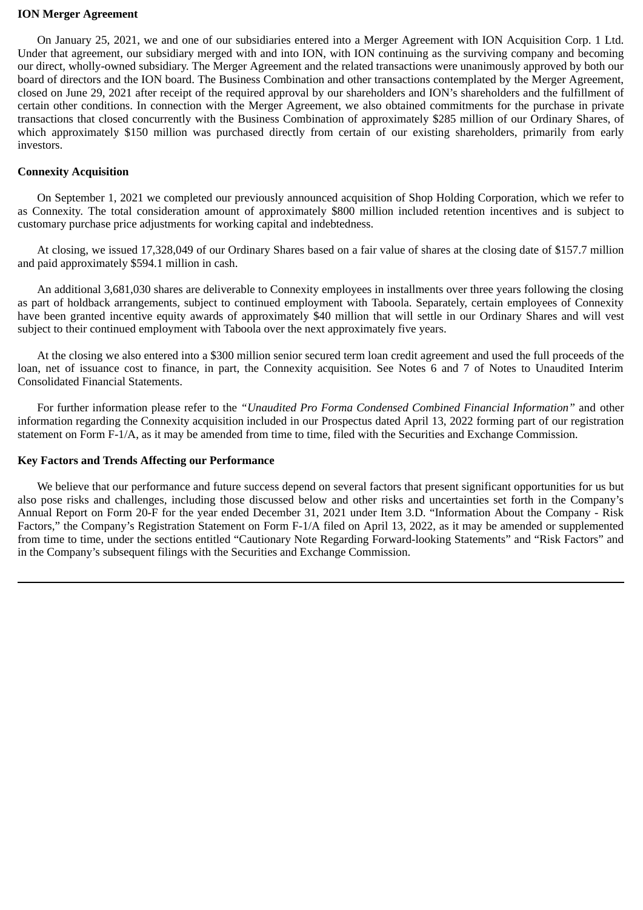# **ION Merger Agreement**

On January 25, 2021, we and one of our subsidiaries entered into a Merger Agreement with ION Acquisition Corp. 1 Ltd. Under that agreement, our subsidiary merged with and into ION, with ION continuing as the surviving company and becoming our direct, wholly-owned subsidiary. The Merger Agreement and the related transactions were unanimously approved by both our board of directors and the ION board. The Business Combination and other transactions contemplated by the Merger Agreement, closed on June 29, 2021 after receipt of the required approval by our shareholders and ION's shareholders and the fulfillment of certain other conditions. In connection with the Merger Agreement, we also obtained commitments for the purchase in private transactions that closed concurrently with the Business Combination of approximately \$285 million of our Ordinary Shares, of which approximately \$150 million was purchased directly from certain of our existing shareholders, primarily from early investors.

# **Connexity Acquisition**

On September 1, 2021 we completed our previously announced acquisition of Shop Holding Corporation, which we refer to as Connexity. The total consideration amount of approximately \$800 million included retention incentives and is subject to customary purchase price adjustments for working capital and indebtedness.

At closing, we issued 17,328,049 of our Ordinary Shares based on a fair value of shares at the closing date of \$157.7 million and paid approximately \$594.1 million in cash.

An additional 3,681,030 shares are deliverable to Connexity employees in installments over three years following the closing as part of holdback arrangements, subject to continued employment with Taboola. Separately, certain employees of Connexity have been granted incentive equity awards of approximately \$40 million that will settle in our Ordinary Shares and will vest subject to their continued employment with Taboola over the next approximately five years.

At the closing we also entered into a \$300 million senior secured term loan credit agreement and used the full proceeds of the loan, net of issuance cost to finance, in part, the Connexity acquisition. See Notes 6 and 7 of Notes to Unaudited Interim Consolidated Financial Statements.

For further information please refer to the *"Unaudited Pro Forma Condensed Combined Financial Information"* and other information regarding the Connexity acquisition included in our Prospectus dated April 13, 2022 forming part of our registration statement on Form F-1/A, as it may be amended from time to time, filed with the Securities and Exchange Commission.

# **Key Factors and Trends Affecting our Performance**

We believe that our performance and future success depend on several factors that present significant opportunities for us but also pose risks and challenges, including those discussed below and other risks and uncertainties set forth in the Company's Annual Report on Form 20-F for the year ended December 31, 2021 under Item 3.D. "Information About the Company - Risk Factors," the Company's Registration Statement on Form F-1/A filed on April 13, 2022, as it may be amended or supplemented from time to time, under the sections entitled "Cautionary Note Regarding Forward-looking Statements" and "Risk Factors" and in the Company's subsequent filings with the Securities and Exchange Commission.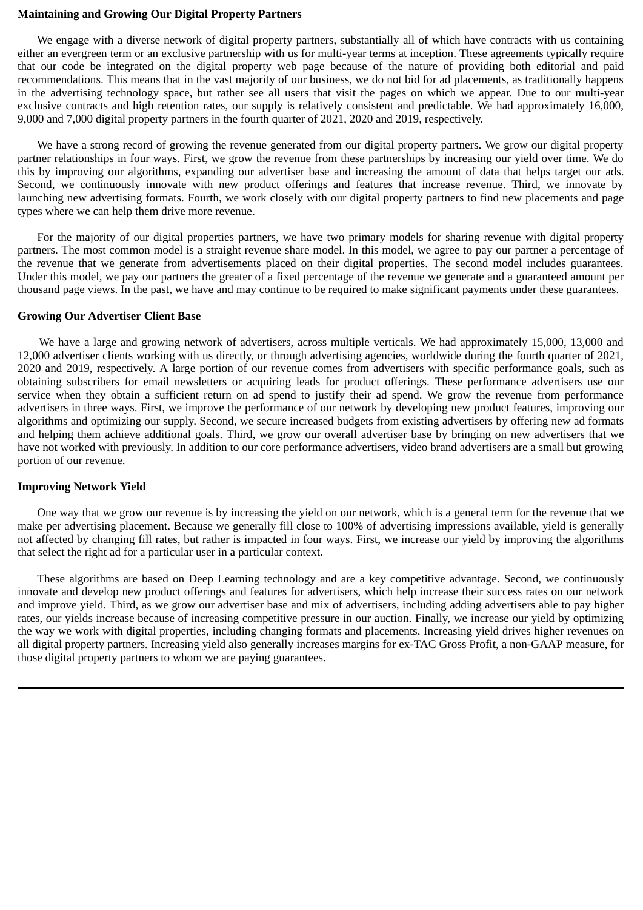# **Maintaining and Growing Our Digital Property Partners**

We engage with a diverse network of digital property partners, substantially all of which have contracts with us containing either an evergreen term or an exclusive partnership with us for multi-year terms at inception. These agreements typically require that our code be integrated on the digital property web page because of the nature of providing both editorial and paid recommendations. This means that in the vast majority of our business, we do not bid for ad placements, as traditionally happens in the advertising technology space, but rather see all users that visit the pages on which we appear. Due to our multi-year exclusive contracts and high retention rates, our supply is relatively consistent and predictable. We had approximately 16,000, 9,000 and 7,000 digital property partners in the fourth quarter of 2021, 2020 and 2019, respectively.

We have a strong record of growing the revenue generated from our digital property partners. We grow our digital property partner relationships in four ways. First, we grow the revenue from these partnerships by increasing our yield over time. We do this by improving our algorithms, expanding our advertiser base and increasing the amount of data that helps target our ads. Second, we continuously innovate with new product offerings and features that increase revenue. Third, we innovate by launching new advertising formats. Fourth, we work closely with our digital property partners to find new placements and page types where we can help them drive more revenue.

For the majority of our digital properties partners, we have two primary models for sharing revenue with digital property partners. The most common model is a straight revenue share model. In this model, we agree to pay our partner a percentage of the revenue that we generate from advertisements placed on their digital properties. The second model includes guarantees. Under this model, we pay our partners the greater of a fixed percentage of the revenue we generate and a guaranteed amount per thousand page views. In the past, we have and may continue to be required to make significant payments under these guarantees.

# **Growing Our Advertiser Client Base**

We have a large and growing network of advertisers, across multiple verticals. We had approximately 15,000, 13,000 and 12,000 advertiser clients working with us directly, or through advertising agencies, worldwide during the fourth quarter of 2021, 2020 and 2019, respectively. A large portion of our revenue comes from advertisers with specific performance goals, such as obtaining subscribers for email newsletters or acquiring leads for product offerings. These performance advertisers use our service when they obtain a sufficient return on ad spend to justify their ad spend. We grow the revenue from performance advertisers in three ways. First, we improve the performance of our network by developing new product features, improving our algorithms and optimizing our supply. Second, we secure increased budgets from existing advertisers by offering new ad formats and helping them achieve additional goals. Third, we grow our overall advertiser base by bringing on new advertisers that we have not worked with previously. In addition to our core performance advertisers, video brand advertisers are a small but growing portion of our revenue.

# **Improving Network Yield**

One way that we grow our revenue is by increasing the yield on our network, which is a general term for the revenue that we make per advertising placement. Because we generally fill close to 100% of advertising impressions available, yield is generally not affected by changing fill rates, but rather is impacted in four ways. First, we increase our yield by improving the algorithms that select the right ad for a particular user in a particular context.

These algorithms are based on Deep Learning technology and are a key competitive advantage. Second, we continuously innovate and develop new product offerings and features for advertisers, which help increase their success rates on our network and improve yield. Third, as we grow our advertiser base and mix of advertisers, including adding advertisers able to pay higher rates, our yields increase because of increasing competitive pressure in our auction. Finally, we increase our yield by optimizing the way we work with digital properties, including changing formats and placements. Increasing yield drives higher revenues on all digital property partners. Increasing yield also generally increases margins for ex-TAC Gross Profit, a non-GAAP measure, for those digital property partners to whom we are paying guarantees.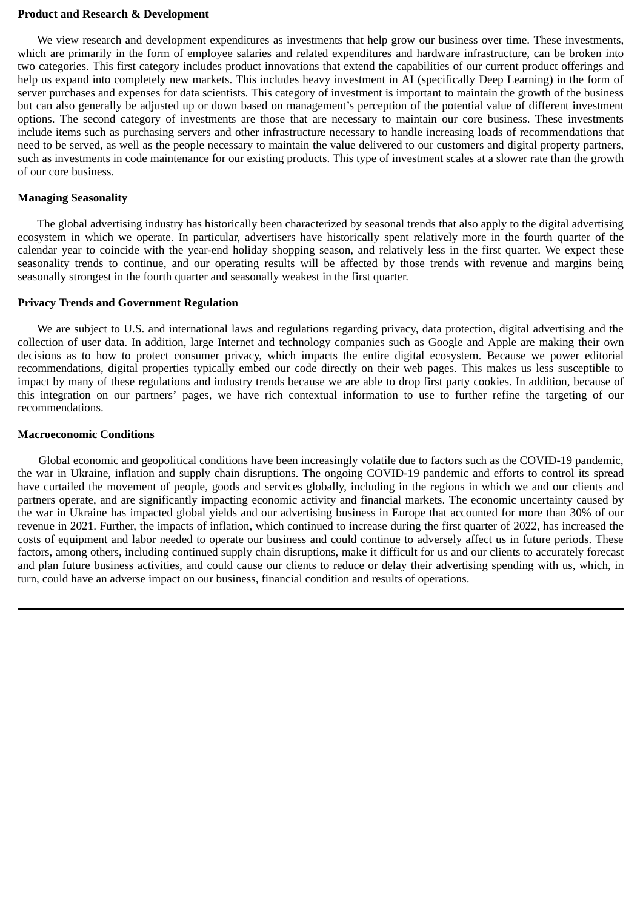# **Product and Research & Development**

We view research and development expenditures as investments that help grow our business over time. These investments, which are primarily in the form of employee salaries and related expenditures and hardware infrastructure, can be broken into two categories. This first category includes product innovations that extend the capabilities of our current product offerings and help us expand into completely new markets. This includes heavy investment in AI (specifically Deep Learning) in the form of server purchases and expenses for data scientists. This category of investment is important to maintain the growth of the business but can also generally be adjusted up or down based on management's perception of the potential value of different investment options. The second category of investments are those that are necessary to maintain our core business. These investments include items such as purchasing servers and other infrastructure necessary to handle increasing loads of recommendations that need to be served, as well as the people necessary to maintain the value delivered to our customers and digital property partners, such as investments in code maintenance for our existing products. This type of investment scales at a slower rate than the growth of our core business.

# **Managing Seasonality**

The global advertising industry has historically been characterized by seasonal trends that also apply to the digital advertising ecosystem in which we operate. In particular, advertisers have historically spent relatively more in the fourth quarter of the calendar year to coincide with the year-end holiday shopping season, and relatively less in the first quarter. We expect these seasonality trends to continue, and our operating results will be affected by those trends with revenue and margins being seasonally strongest in the fourth quarter and seasonally weakest in the first quarter.

# **Privacy Trends and Government Regulation**

We are subject to U.S. and international laws and regulations regarding privacy, data protection, digital advertising and the collection of user data. In addition, large Internet and technology companies such as Google and Apple are making their own decisions as to how to protect consumer privacy, which impacts the entire digital ecosystem. Because we power editorial recommendations, digital properties typically embed our code directly on their web pages. This makes us less susceptible to impact by many of these regulations and industry trends because we are able to drop first party cookies. In addition, because of this integration on our partners' pages, we have rich contextual information to use to further refine the targeting of our recommendations.

# **Macroeconomic Conditions**

Global economic and geopolitical conditions have been increasingly volatile due to factors such as the COVID-19 pandemic, the war in Ukraine, inflation and supply chain disruptions. The ongoing COVID-19 pandemic and efforts to control its spread have curtailed the movement of people, goods and services globally, including in the regions in which we and our clients and partners operate, and are significantly impacting economic activity and financial markets. The economic uncertainty caused by the war in Ukraine has impacted global yields and our advertising business in Europe that accounted for more than 30% of our revenue in 2021. Further, the impacts of inflation, which continued to increase during the first quarter of 2022, has increased the costs of equipment and labor needed to operate our business and could continue to adversely affect us in future periods. These factors, among others, including continued supply chain disruptions, make it difficult for us and our clients to accurately forecast and plan future business activities, and could cause our clients to reduce or delay their advertising spending with us, which, in turn, could have an adverse impact on our business, financial condition and results of operations.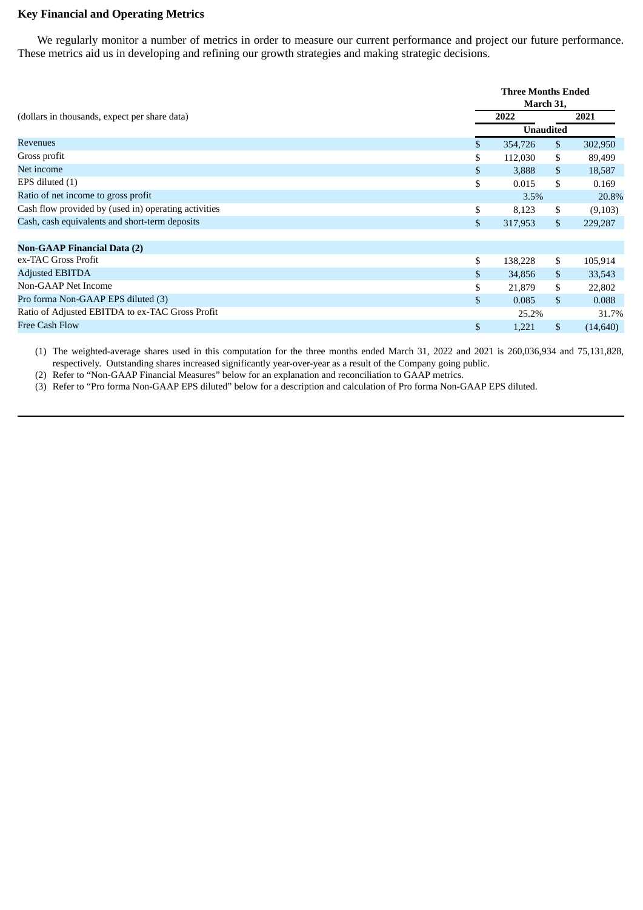# **Key Financial and Operating Metrics**

We regularly monitor a number of metrics in order to measure our current performance and project our future performance. These metrics aid us in developing and refining our growth strategies and making strategic decisions.

|                                                      |                | <b>Three Months Ended</b><br>March 31, |                  |           |  |
|------------------------------------------------------|----------------|----------------------------------------|------------------|-----------|--|
| (dollars in thousands, expect per share data)        |                | 2022                                   |                  | 2021      |  |
|                                                      |                |                                        | <b>Unaudited</b> |           |  |
| <b>Revenues</b>                                      | \$             | 354,726                                | \$               | 302,950   |  |
| Gross profit                                         | \$             | 112,030                                | \$               | 89,499    |  |
| Net income                                           | \$             | 3,888                                  | \$               | 18,587    |  |
| EPS diluted (1)                                      | \$             | 0.015                                  | \$               | 0.169     |  |
| Ratio of net income to gross profit                  |                | 3.5%                                   |                  | 20.8%     |  |
| Cash flow provided by (used in) operating activities | \$             | 8,123                                  | \$               | (9,103)   |  |
| Cash, cash equivalents and short-term deposits       | \$             | 317,953                                | $\mathbb{S}$     | 229,287   |  |
|                                                      |                |                                        |                  |           |  |
| <b>Non-GAAP Financial Data (2)</b>                   |                |                                        |                  |           |  |
| ex-TAC Gross Profit                                  | \$             | 138,228                                | \$               | 105,914   |  |
| <b>Adjusted EBITDA</b>                               | \$             | 34,856                                 | \$               | 33,543    |  |
| Non-GAAP Net Income                                  | \$             | 21,879                                 | \$               | 22,802    |  |
| Pro forma Non-GAAP EPS diluted (3)                   | $\mathbb{S}$   | 0.085                                  | $\mathcal{S}$    | 0.088     |  |
| Ratio of Adjusted EBITDA to ex-TAC Gross Profit      |                | 25.2%                                  |                  | 31.7%     |  |
| <b>Free Cash Flow</b>                                | $\mathfrak{S}$ | 1,221                                  | \$               | (14, 640) |  |
|                                                      |                |                                        |                  |           |  |

(1) The weighted-average shares used in this computation for the three months ended March 31, 2022 and 2021 is 260,036,934 and 75,131,828, respectively. Outstanding shares increased significantly year-over-year as a result of the Company going public.

(2) Refer to "Non-GAAP Financial Measures" below for an explanation and reconciliation to GAAP metrics.

(3) Refer to "Pro forma Non-GAAP EPS diluted" below for a description and calculation of Pro forma Non-GAAP EPS diluted.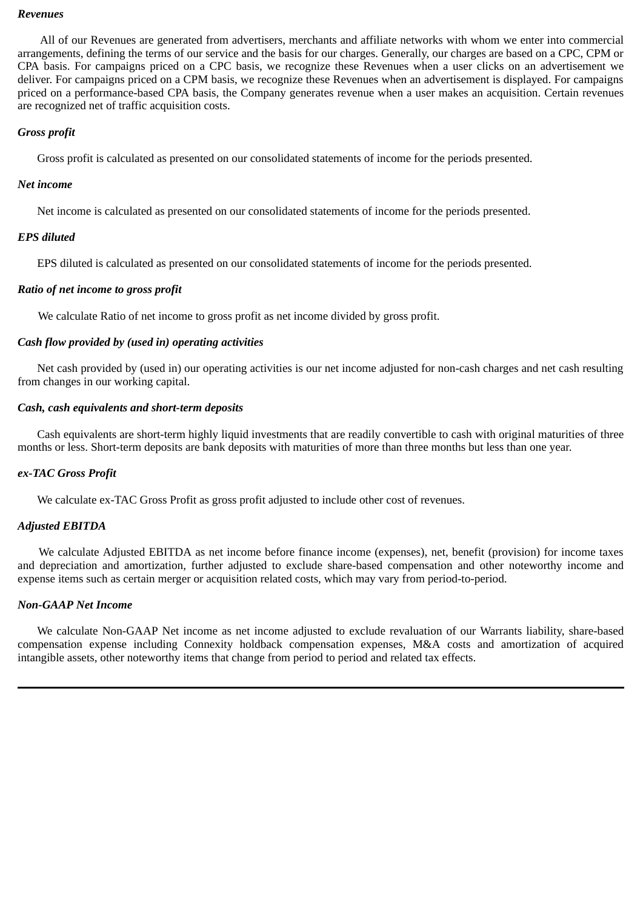#### *Revenues*

All of our Revenues are generated from advertisers, merchants and affiliate networks with whom we enter into commercial arrangements, defining the terms of our service and the basis for our charges. Generally, our charges are based on a CPC, CPM or CPA basis. For campaigns priced on a CPC basis, we recognize these Revenues when a user clicks on an advertisement we deliver. For campaigns priced on a CPM basis, we recognize these Revenues when an advertisement is displayed. For campaigns priced on a performance-based CPA basis, the Company generates revenue when a user makes an acquisition. Certain revenues are recognized net of traffic acquisition costs.

# *Gross profit*

Gross profit is calculated as presented on our consolidated statements of income for the periods presented.

# *Net income*

Net income is calculated as presented on our consolidated statements of income for the periods presented.

# *EPS diluted*

EPS diluted is calculated as presented on our consolidated statements of income for the periods presented.

# *Ratio of net income to gross profit*

We calculate Ratio of net income to gross profit as net income divided by gross profit.

# *Cash flow provided by (used in) operating activities*

Net cash provided by (used in) our operating activities is our net income adjusted for non-cash charges and net cash resulting from changes in our working capital.

# *Cash, cash equivalents and short-term deposits*

Cash equivalents are short-term highly liquid investments that are readily convertible to cash with original maturities of three months or less. Short-term deposits are bank deposits with maturities of more than three months but less than one year.

# *ex-TAC Gross Profit*

We calculate ex-TAC Gross Profit as gross profit adjusted to include other cost of revenues.

# *Adjusted EBITDA*

We calculate Adjusted EBITDA as net income before finance income (expenses), net, benefit (provision) for income taxes and depreciation and amortization, further adjusted to exclude share-based compensation and other noteworthy income and expense items such as certain merger or acquisition related costs, which may vary from period-to-period.

# *Non-GAAP Net Income*

We calculate Non-GAAP Net income as net income adjusted to exclude revaluation of our Warrants liability, share-based compensation expense including Connexity holdback compensation expenses, M&A costs and amortization of acquired intangible assets, other noteworthy items that change from period to period and related tax effects.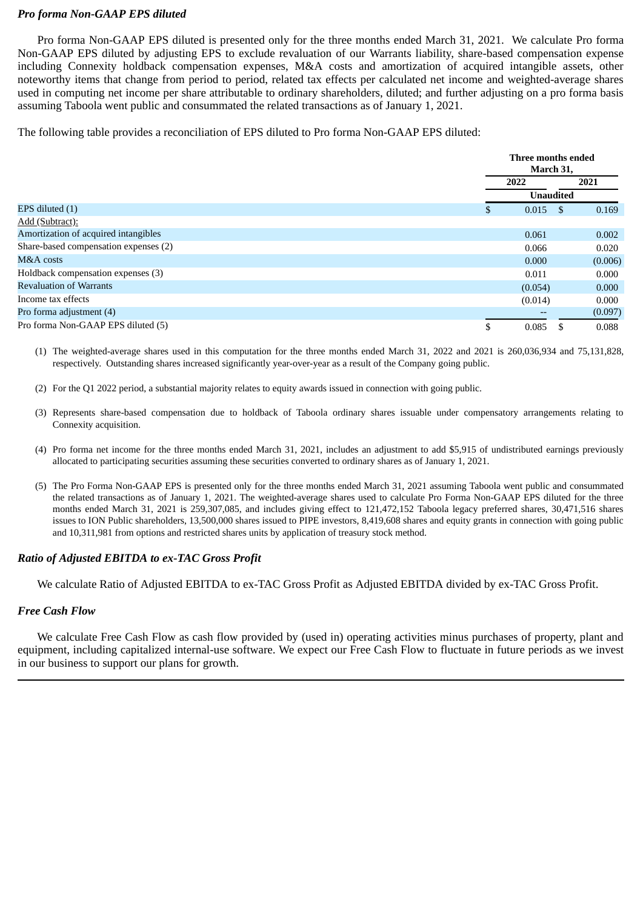# *Pro forma Non-GAAP EPS diluted*

Pro forma Non-GAAP EPS diluted is presented only for the three months ended March 31, 2021. We calculate Pro forma Non-GAAP EPS diluted by adjusting EPS to exclude revaluation of our Warrants liability, share-based compensation expense including Connexity holdback compensation expenses, M&A costs and amortization of acquired intangible assets, other noteworthy items that change from period to period, related tax effects per calculated net income and weighted-average shares used in computing net income per share attributable to ordinary shareholders, diluted; and further adjusting on a pro forma basis assuming Taboola went public and consummated the related transactions as of January 1, 2021.

The following table provides a reconciliation of EPS diluted to Pro forma Non-GAAP EPS diluted:

|                                       |                 | Three months ended<br>March 31, |  |  |
|---------------------------------------|-----------------|---------------------------------|--|--|
|                                       | 2022            | 2021                            |  |  |
|                                       |                 | <b>Unaudited</b>                |  |  |
| EPS diluted (1)                       | $0.015$ \$<br>S | 0.169                           |  |  |
| Add (Subtract):                       |                 |                                 |  |  |
| Amortization of acquired intangibles  | 0.061           | 0.002                           |  |  |
| Share-based compensation expenses (2) | 0.066           | 0.020                           |  |  |
| M&A costs                             | 0.000           | (0.006)                         |  |  |
| Holdback compensation expenses (3)    | 0.011           | 0.000                           |  |  |
| <b>Revaluation of Warrants</b>        | (0.054)         | 0.000                           |  |  |
| Income tax effects                    | (0.014)         | 0.000                           |  |  |
| Pro forma adjustment (4)              |                 | (0.097)                         |  |  |
| Pro forma Non-GAAP EPS diluted (5)    | 0.085           | 0.088                           |  |  |

(1) The weighted-average shares used in this computation for the three months ended March 31, 2022 and 2021 is 260,036,934 and 75,131,828, respectively. Outstanding shares increased significantly year-over-year as a result of the Company going public.

- (2) For the Q1 2022 period, a substantial majority relates to equity awards issued in connection with going public.
- (3) Represents share-based compensation due to holdback of Taboola ordinary shares issuable under compensatory arrangements relating to Connexity acquisition.
- (4) Pro forma net income for the three months ended March 31, 2021, includes an adjustment to add \$5,915 of undistributed earnings previously allocated to participating securities assuming these securities converted to ordinary shares as of January 1, 2021.
- (5) The Pro Forma Non-GAAP EPS is presented only for the three months ended March 31, 2021 assuming Taboola went public and consummated the related transactions as of January 1, 2021. The weighted-average shares used to calculate Pro Forma Non-GAAP EPS diluted for the three months ended March 31, 2021 is 259,307,085, and includes giving effect to 121,472,152 Taboola legacy preferred shares, 30,471,516 shares issues to ION Public shareholders, 13,500,000 shares issued to PIPE investors, 8,419,608 shares and equity grants in connection with going public and 10,311,981 from options and restricted shares units by application of treasury stock method.

# *Ratio of Adjusted EBITDA to ex-TAC Gross Profit*

We calculate Ratio of Adjusted EBITDA to ex-TAC Gross Profit as Adjusted EBITDA divided by ex-TAC Gross Profit.

# *Free Cash Flow*

We calculate Free Cash Flow as cash flow provided by (used in) operating activities minus purchases of property, plant and equipment, including capitalized internal-use software. We expect our Free Cash Flow to fluctuate in future periods as we invest in our business to support our plans for growth.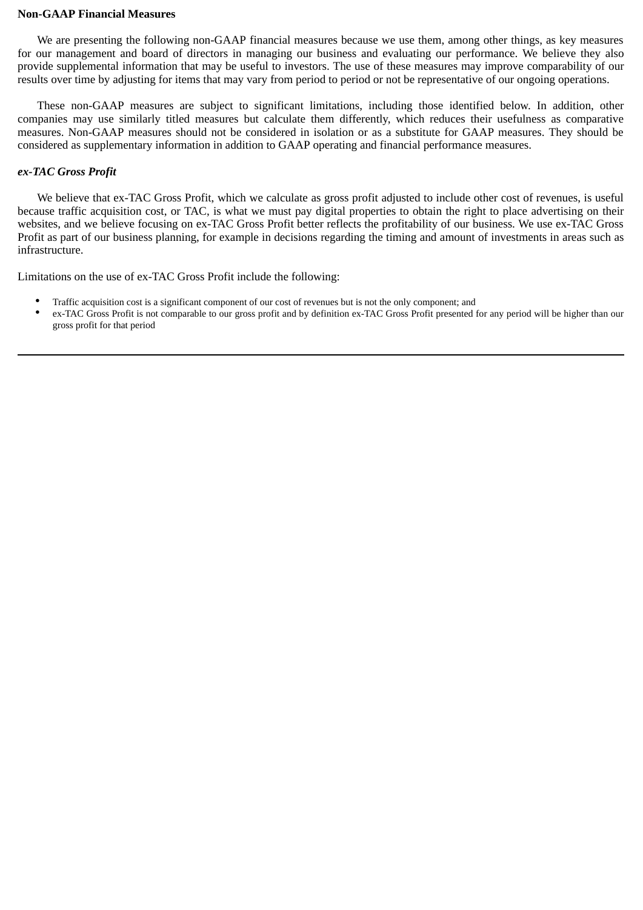#### **Non-GAAP Financial Measures**

We are presenting the following non-GAAP financial measures because we use them, among other things, as key measures for our management and board of directors in managing our business and evaluating our performance. We believe they also provide supplemental information that may be useful to investors. The use of these measures may improve comparability of our results over time by adjusting for items that may vary from period to period or not be representative of our ongoing operations.

These non-GAAP measures are subject to significant limitations, including those identified below. In addition, other companies may use similarly titled measures but calculate them differently, which reduces their usefulness as comparative measures. Non-GAAP measures should not be considered in isolation or as a substitute for GAAP measures. They should be considered as supplementary information in addition to GAAP operating and financial performance measures.

# *ex-TAC Gross Profit*

We believe that ex-TAC Gross Profit, which we calculate as gross profit adjusted to include other cost of revenues, is useful because traffic acquisition cost, or TAC, is what we must pay digital properties to obtain the right to place advertising on their websites, and we believe focusing on ex-TAC Gross Profit better reflects the profitability of our business. We use ex-TAC Gross Profit as part of our business planning, for example in decisions regarding the timing and amount of investments in areas such as infrastructure.

Limitations on the use of ex-TAC Gross Profit include the following:

- Traffic acquisition cost is a significant component of our cost of revenues but is not the only component; and
- ex-TAC Gross Profit is not comparable to our gross profit and by definition ex-TAC Gross Profit presented for any period will be higher than our gross profit for that period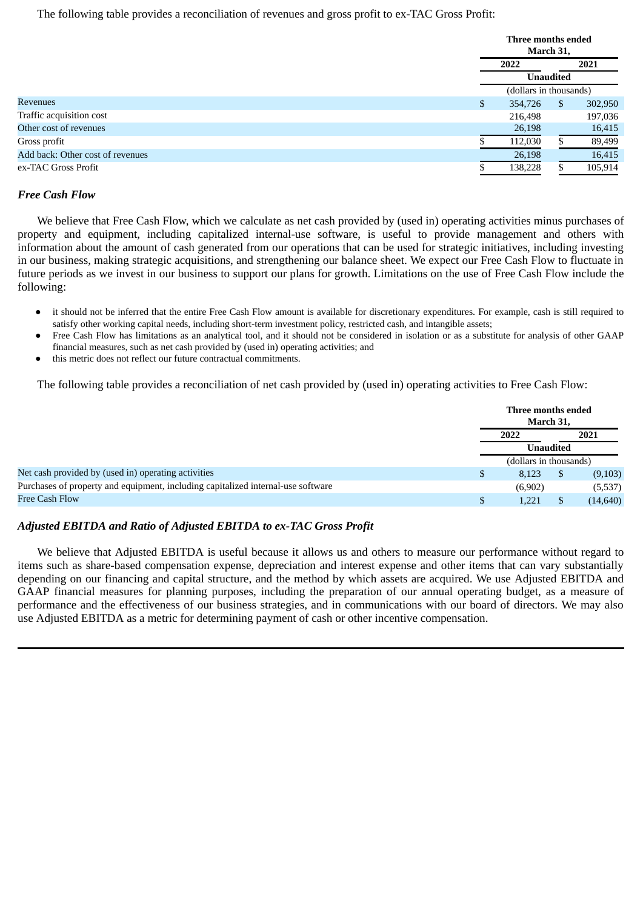The following table provides a reconciliation of revenues and gross profit to ex-TAC Gross Profit:

|                                  | Three months ended     |     |         |  |
|----------------------------------|------------------------|-----|---------|--|
|                                  | March 31,              |     |         |  |
|                                  | 2021<br>2022           |     |         |  |
|                                  | <b>Unaudited</b>       |     |         |  |
|                                  | (dollars in thousands) |     |         |  |
| Revenues                         | \$<br>354,726          | \$. | 302,950 |  |
| Traffic acquisition cost         | 216,498                |     | 197,036 |  |
| Other cost of revenues           | 26,198                 |     | 16,415  |  |
| Gross profit                     | 112,030                |     | 89,499  |  |
| Add back: Other cost of revenues | 26,198                 |     | 16,415  |  |
| ex-TAC Gross Profit              | 138,228                |     | 105,914 |  |

# *Free Cash Flow*

We believe that Free Cash Flow, which we calculate as net cash provided by (used in) operating activities minus purchases of property and equipment, including capitalized internal-use software, is useful to provide management and others with information about the amount of cash generated from our operations that can be used for strategic initiatives, including investing in our business, making strategic acquisitions, and strengthening our balance sheet. We expect our Free Cash Flow to fluctuate in future periods as we invest in our business to support our plans for growth. Limitations on the use of Free Cash Flow include the following:

- it should not be inferred that the entire Free Cash Flow amount is available for discretionary expenditures. For example, cash is still required to satisfy other working capital needs, including short-term investment policy, restricted cash, and intangible assets;
- Free Cash Flow has limitations as an analytical tool, and it should not be considered in isolation or as a substitute for analysis of other GAAP financial measures, such as net cash provided by (used in) operating activities; and
- this metric does not reflect our future contractual commitments.

The following table provides a reconciliation of net cash provided by (used in) operating activities to Free Cash Flow:

|                                                                                  |   | Three months ended<br>March 31, |      |           |  |
|----------------------------------------------------------------------------------|---|---------------------------------|------|-----------|--|
|                                                                                  |   | 2022                            | 2021 |           |  |
|                                                                                  |   | <b>Unaudited</b>                |      |           |  |
|                                                                                  |   | (dollars in thousands)          |      |           |  |
| Net cash provided by (used in) operating activities                              | S | 8.123                           |      | (9,103)   |  |
| Purchases of property and equipment, including capitalized internal-use software |   | (6,902)                         |      | (5,537)   |  |
| Free Cash Flow                                                                   |   | 1,221                           |      | (14, 640) |  |

# *Adjusted EBITDA and Ratio of Adjusted EBITDA to ex-TAC Gross Profit*

We believe that Adjusted EBITDA is useful because it allows us and others to measure our performance without regard to items such as share-based compensation expense, depreciation and interest expense and other items that can vary substantially depending on our financing and capital structure, and the method by which assets are acquired. We use Adjusted EBITDA and GAAP financial measures for planning purposes, including the preparation of our annual operating budget, as a measure of performance and the effectiveness of our business strategies, and in communications with our board of directors. We may also use Adjusted EBITDA as a metric for determining payment of cash or other incentive compensation.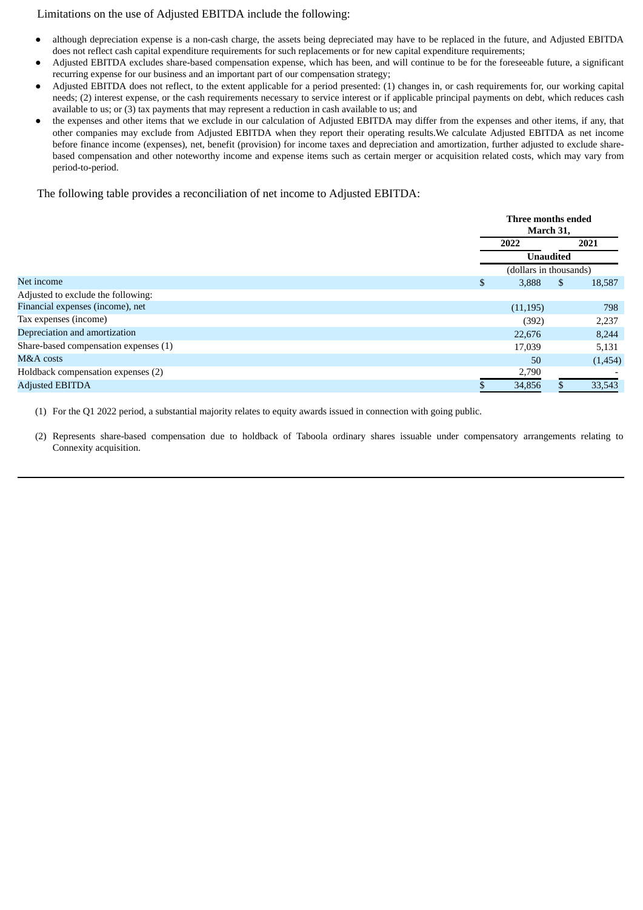# Limitations on the use of Adjusted EBITDA include the following:

- although depreciation expense is a non-cash charge, the assets being depreciated may have to be replaced in the future, and Adjusted EBITDA does not reflect cash capital expenditure requirements for such replacements or for new capital expenditure requirements;
- Adjusted EBITDA excludes share-based compensation expense, which has been, and will continue to be for the foreseeable future, a significant recurring expense for our business and an important part of our compensation strategy;
- Adjusted EBITDA does not reflect, to the extent applicable for a period presented: (1) changes in, or cash requirements for, our working capital needs; (2) interest expense, or the cash requirements necessary to service interest or if applicable principal payments on debt, which reduces cash available to us; or (3) tax payments that may represent a reduction in cash available to us; and
- the expenses and other items that we exclude in our calculation of Adjusted EBITDA may differ from the expenses and other items, if any, that other companies may exclude from Adjusted EBITDA when they report their operating results.We calculate Adjusted EBITDA as net income before finance income (expenses), net, benefit (provision) for income taxes and depreciation and amortization, further adjusted to exclude sharebased compensation and other noteworthy income and expense items such as certain merger or acquisition related costs, which may vary from period-to-period.

The following table provides a reconciliation of net income to Adjusted EBITDA:

|                                       |             | Three months ended<br>March 31, |
|---------------------------------------|-------------|---------------------------------|
|                                       | 2022        | 2021                            |
|                                       |             | <b>Unaudited</b>                |
|                                       |             | (dollars in thousands)          |
| Net income                            | 3,888<br>\$ | 18,587<br>\$.                   |
| Adjusted to exclude the following:    |             |                                 |
| Financial expenses (income), net      | (11, 195)   | 798                             |
| Tax expenses (income)                 | (392)       | 2,237                           |
| Depreciation and amortization         | 22,676      | 8,244                           |
| Share-based compensation expenses (1) | 17,039      | 5,131                           |
| M&A costs                             | 50          | (1,454)                         |
| Holdback compensation expenses (2)    | 2,790       |                                 |
| <b>Adjusted EBITDA</b>                | 34,856      | 33,543                          |

(1) For the Q1 2022 period, a substantial majority relates to equity awards issued in connection with going public.

(2) Represents share-based compensation due to holdback of Taboola ordinary shares issuable under compensatory arrangements relating to Connexity acquisition.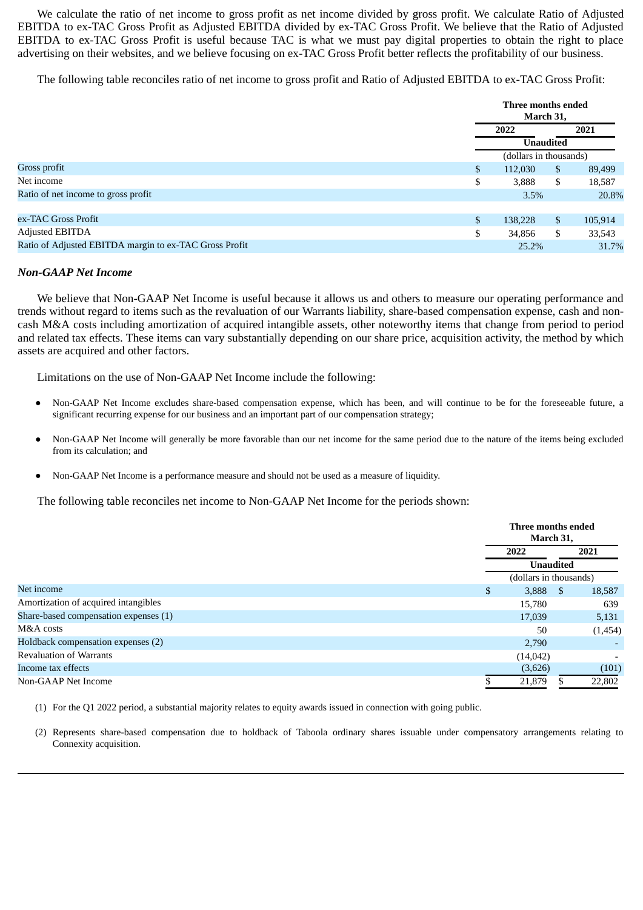We calculate the ratio of net income to gross profit as net income divided by gross profit. We calculate Ratio of Adjusted EBITDA to ex-TAC Gross Profit as Adjusted EBITDA divided by ex-TAC Gross Profit. We believe that the Ratio of Adjusted EBITDA to ex-TAC Gross Profit is useful because TAC is what we must pay digital properties to obtain the right to place advertising on their websites, and we believe focusing on ex-TAC Gross Profit better reflects the profitability of our business.

The following table reconciles ratio of net income to gross profit and Ratio of Adjusted EBITDA to ex-TAC Gross Profit:

|                                                        |              | Three months ended<br>March 31,            |                |         |  |  |
|--------------------------------------------------------|--------------|--------------------------------------------|----------------|---------|--|--|
|                                                        |              | 2021<br>2022                               |                |         |  |  |
|                                                        |              | <b>Unaudited</b><br>(dollars in thousands) |                |         |  |  |
|                                                        |              |                                            |                |         |  |  |
| Gross profit                                           | \$           | $\mathbb{S}$<br>112,030<br>89,499          |                |         |  |  |
| Net income                                             | \$           | 3,888                                      | \$             | 18,587  |  |  |
| Ratio of net income to gross profit                    |              | 20.8%<br>3.5%                              |                |         |  |  |
|                                                        |              |                                            |                |         |  |  |
| ex-TAC Gross Profit                                    | $\mathbb{S}$ | 138,228                                    | $\mathfrak{s}$ | 105,914 |  |  |
| Adjusted EBITDA                                        | \$           | 34,856                                     | \$             | 33,543  |  |  |
| Ratio of Adjusted EBITDA margin to ex-TAC Gross Profit |              | 31.7%<br>25.2%                             |                |         |  |  |

#### *Non-GAAP Net Income*

We believe that Non-GAAP Net Income is useful because it allows us and others to measure our operating performance and trends without regard to items such as the revaluation of our Warrants liability, share-based compensation expense, cash and noncash M&A costs including amortization of acquired intangible assets, other noteworthy items that change from period to period and related tax effects. These items can vary substantially depending on our share price, acquisition activity, the method by which assets are acquired and other factors.

Limitations on the use of Non-GAAP Net Income include the following:

- Non-GAAP Net Income excludes share-based compensation expense, which has been, and will continue to be for the foreseeable future, a significant recurring expense for our business and an important part of our compensation strategy;
- Non-GAAP Net Income will generally be more favorable than our net income for the same period due to the nature of the items being excluded from its calculation; and
- Non-GAAP Net Income is a performance measure and should not be used as a measure of liquidity.

The following table reconciles net income to Non-GAAP Net Income for the periods shown:

|                                       | Three months ended<br>March 31, |      |         |  |
|---------------------------------------|---------------------------------|------|---------|--|
|                                       | 2022                            | 2021 |         |  |
|                                       | <b>Unaudited</b>                |      |         |  |
|                                       | (dollars in thousands)          |      |         |  |
| Net income                            | \$<br>3,888                     | -S   | 18,587  |  |
| Amortization of acquired intangibles  | 15,780                          |      | 639     |  |
| Share-based compensation expenses (1) | 17,039                          |      | 5,131   |  |
| M&A costs                             | 50                              |      | (1,454) |  |
| Holdback compensation expenses (2)    | 2,790                           |      |         |  |
| <b>Revaluation of Warrants</b>        | (14, 042)                       |      |         |  |
| Income tax effects                    | (3,626)                         |      | (101)   |  |
| Non-GAAP Net Income                   | 21,879                          |      | 22,802  |  |

(1) For the Q1 2022 period, a substantial majority relates to equity awards issued in connection with going public.

(2) Represents share-based compensation due to holdback of Taboola ordinary shares issuable under compensatory arrangements relating to Connexity acquisition.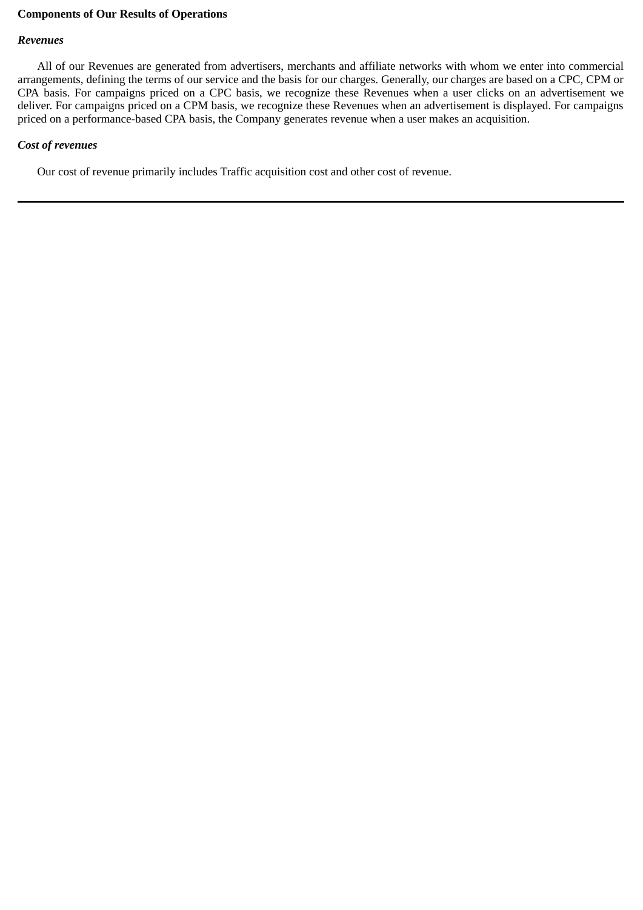# **Components of Our Results of Operations**

# *Revenues*

All of our Revenues are generated from advertisers, merchants and affiliate networks with whom we enter into commercial arrangements, defining the terms of our service and the basis for our charges. Generally, our charges are based on a CPC, CPM or CPA basis. For campaigns priced on a CPC basis, we recognize these Revenues when a user clicks on an advertisement we deliver. For campaigns priced on a CPM basis, we recognize these Revenues when an advertisement is displayed. For campaigns priced on a performance-based CPA basis, the Company generates revenue when a user makes an acquisition.

# *Cost of revenues*

Our cost of revenue primarily includes Traffic acquisition cost and other cost of revenue.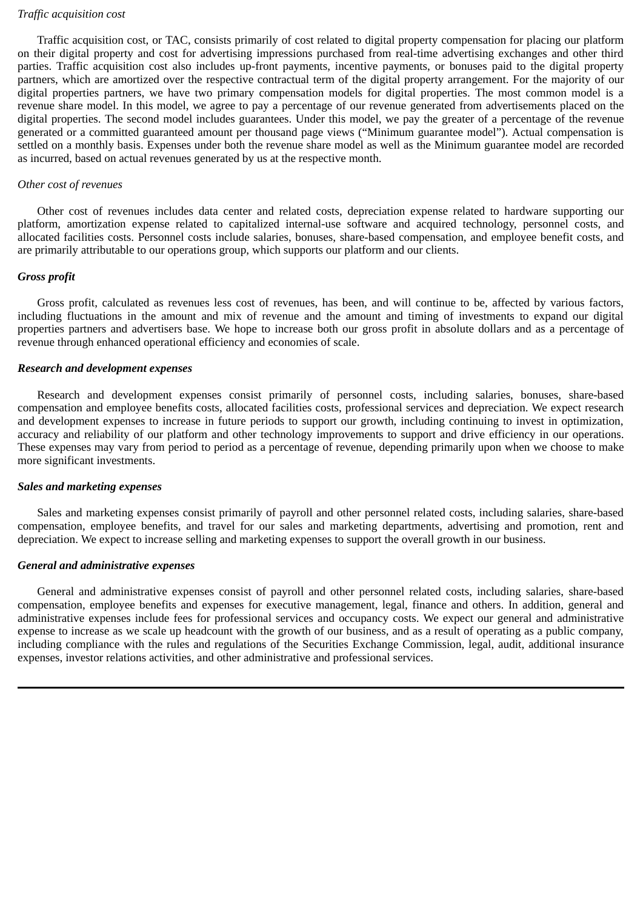# *Traffic acquisition cost*

Traffic acquisition cost, or TAC, consists primarily of cost related to digital property compensation for placing our platform on their digital property and cost for advertising impressions purchased from real-time advertising exchanges and other third parties. Traffic acquisition cost also includes up-front payments, incentive payments, or bonuses paid to the digital property partners, which are amortized over the respective contractual term of the digital property arrangement. For the majority of our digital properties partners, we have two primary compensation models for digital properties. The most common model is a revenue share model. In this model, we agree to pay a percentage of our revenue generated from advertisements placed on the digital properties. The second model includes guarantees. Under this model, we pay the greater of a percentage of the revenue generated or a committed guaranteed amount per thousand page views ("Minimum guarantee model"). Actual compensation is settled on a monthly basis. Expenses under both the revenue share model as well as the Minimum guarantee model are recorded as incurred, based on actual revenues generated by us at the respective month.

#### *Other cost of revenues*

Other cost of revenues includes data center and related costs, depreciation expense related to hardware supporting our platform, amortization expense related to capitalized internal-use software and acquired technology, personnel costs, and allocated facilities costs. Personnel costs include salaries, bonuses, share-based compensation, and employee benefit costs, and are primarily attributable to our operations group, which supports our platform and our clients.

#### *Gross profit*

Gross profit, calculated as revenues less cost of revenues, has been, and will continue to be, affected by various factors, including fluctuations in the amount and mix of revenue and the amount and timing of investments to expand our digital properties partners and advertisers base. We hope to increase both our gross profit in absolute dollars and as a percentage of revenue through enhanced operational efficiency and economies of scale.

#### *Research and development expenses*

Research and development expenses consist primarily of personnel costs, including salaries, bonuses, share-based compensation and employee benefits costs, allocated facilities costs, professional services and depreciation. We expect research and development expenses to increase in future periods to support our growth, including continuing to invest in optimization, accuracy and reliability of our platform and other technology improvements to support and drive efficiency in our operations. These expenses may vary from period to period as a percentage of revenue, depending primarily upon when we choose to make more significant investments.

#### *Sales and marketing expenses*

Sales and marketing expenses consist primarily of payroll and other personnel related costs, including salaries, share-based compensation, employee benefits, and travel for our sales and marketing departments, advertising and promotion, rent and depreciation. We expect to increase selling and marketing expenses to support the overall growth in our business.

# *General and administrative expenses*

General and administrative expenses consist of payroll and other personnel related costs, including salaries, share-based compensation, employee benefits and expenses for executive management, legal, finance and others. In addition, general and administrative expenses include fees for professional services and occupancy costs. We expect our general and administrative expense to increase as we scale up headcount with the growth of our business, and as a result of operating as a public company, including compliance with the rules and regulations of the Securities Exchange Commission, legal, audit, additional insurance expenses, investor relations activities, and other administrative and professional services.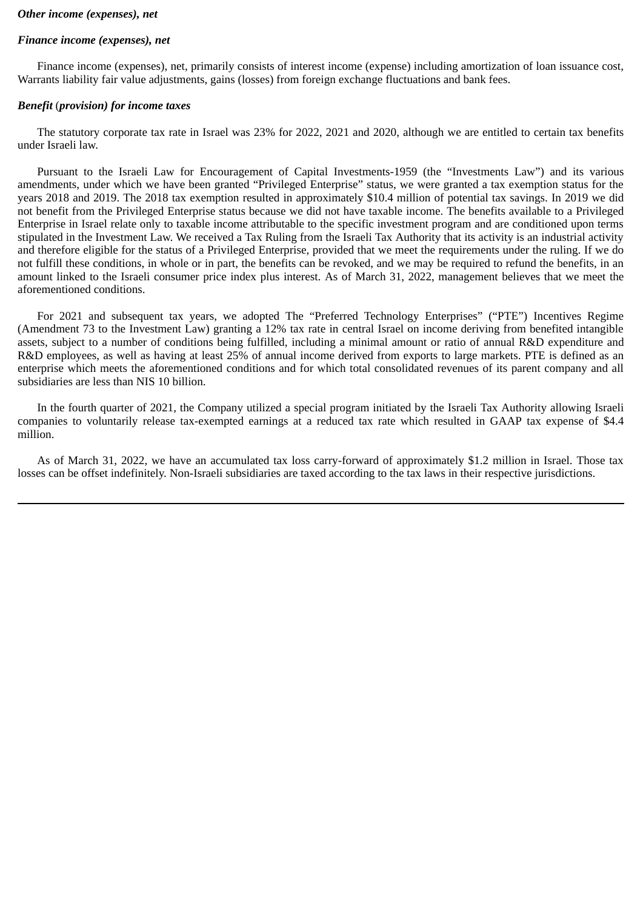# *Other income (expenses), net*

# *Finance income (expenses), net*

Finance income (expenses), net, primarily consists of interest income (expense) including amortization of loan issuance cost, Warrants liability fair value adjustments, gains (losses) from foreign exchange fluctuations and bank fees.

# *Benefit* (*provision) for income taxes*

The statutory corporate tax rate in Israel was 23% for 2022, 2021 and 2020, although we are entitled to certain tax benefits under Israeli law.

Pursuant to the Israeli Law for Encouragement of Capital Investments-1959 (the "Investments Law") and its various amendments, under which we have been granted "Privileged Enterprise" status, we were granted a tax exemption status for the years 2018 and 2019. The 2018 tax exemption resulted in approximately \$10.4 million of potential tax savings. In 2019 we did not benefit from the Privileged Enterprise status because we did not have taxable income. The benefits available to a Privileged Enterprise in Israel relate only to taxable income attributable to the specific investment program and are conditioned upon terms stipulated in the Investment Law. We received a Tax Ruling from the Israeli Tax Authority that its activity is an industrial activity and therefore eligible for the status of a Privileged Enterprise, provided that we meet the requirements under the ruling. If we do not fulfill these conditions, in whole or in part, the benefits can be revoked, and we may be required to refund the benefits, in an amount linked to the Israeli consumer price index plus interest. As of March 31, 2022, management believes that we meet the aforementioned conditions.

For 2021 and subsequent tax years, we adopted The "Preferred Technology Enterprises" ("PTE") Incentives Regime (Amendment 73 to the Investment Law) granting a 12% tax rate in central Israel on income deriving from benefited intangible assets, subject to a number of conditions being fulfilled, including a minimal amount or ratio of annual R&D expenditure and R&D employees, as well as having at least 25% of annual income derived from exports to large markets. PTE is defined as an enterprise which meets the aforementioned conditions and for which total consolidated revenues of its parent company and all subsidiaries are less than NIS 10 billion.

In the fourth quarter of 2021, the Company utilized a special program initiated by the Israeli Tax Authority allowing Israeli companies to voluntarily release tax-exempted earnings at a reduced tax rate which resulted in GAAP tax expense of \$4.4 million.

As of March 31, 2022, we have an accumulated tax loss carry-forward of approximately \$1.2 million in Israel. Those tax losses can be offset indefinitely. Non-Israeli subsidiaries are taxed according to the tax laws in their respective jurisdictions.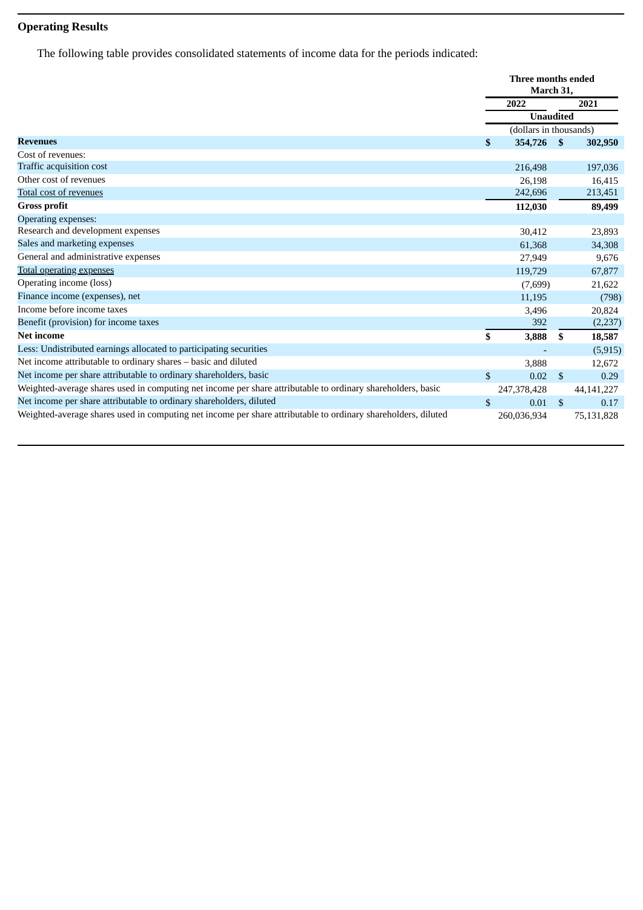# **Operating Results**

The following table provides consolidated statements of income data for the periods indicated:

|                                                                                                               | Three months ended<br>March 31, |                        |                    |              |
|---------------------------------------------------------------------------------------------------------------|---------------------------------|------------------------|--------------------|--------------|
|                                                                                                               |                                 | 2022                   |                    | 2021         |
|                                                                                                               | <b>Unaudited</b>                |                        |                    |              |
|                                                                                                               |                                 | (dollars in thousands) |                    |              |
| <b>Revenues</b>                                                                                               | \$                              | 354,726                | $\mathbf{s}$       | 302,950      |
| Cost of revenues:                                                                                             |                                 |                        |                    |              |
| Traffic acquisition cost                                                                                      |                                 | 216,498                |                    | 197,036      |
| Other cost of revenues                                                                                        |                                 | 26,198                 |                    | 16,415       |
| <b>Total cost of revenues</b>                                                                                 |                                 | 242,696                |                    | 213,451      |
| <b>Gross profit</b>                                                                                           |                                 | 112,030                |                    | 89,499       |
| Operating expenses:                                                                                           |                                 |                        |                    |              |
| Research and development expenses                                                                             |                                 | 30,412                 |                    | 23,893       |
| Sales and marketing expenses                                                                                  |                                 | 61,368                 |                    | 34,308       |
| General and administrative expenses                                                                           |                                 | 27,949                 |                    | 9,676        |
| <b>Total operating expenses</b>                                                                               |                                 | 119,729                |                    | 67,877       |
| Operating income (loss)                                                                                       |                                 | (7,699)                |                    | 21,622       |
| Finance income (expenses), net                                                                                |                                 | 11,195                 |                    | (798)        |
| Income before income taxes                                                                                    |                                 | 3,496                  |                    | 20,824       |
| Benefit (provision) for income taxes                                                                          |                                 | 392                    |                    | (2,237)      |
| <b>Net income</b>                                                                                             | \$                              | 3,888                  | S                  | 18,587       |
| Less: Undistributed earnings allocated to participating securities                                            |                                 |                        |                    | (5, 915)     |
| Net income attributable to ordinary shares - basic and diluted                                                |                                 | 3,888                  |                    | 12,672       |
| Net income per share attributable to ordinary shareholders, basic                                             | \$                              | 0.02                   | $\mathbf{\hat{S}}$ | 0.29         |
| Weighted-average shares used in computing net income per share attributable to ordinary shareholders, basic   |                                 | 247,378,428            |                    | 44, 141, 227 |
| Net income per share attributable to ordinary shareholders, diluted                                           | \$                              | 0.01                   | <sup>\$</sup>      | 0.17         |
| Weighted-average shares used in computing net income per share attributable to ordinary shareholders, diluted |                                 | 260,036,934            |                    | 75,131,828   |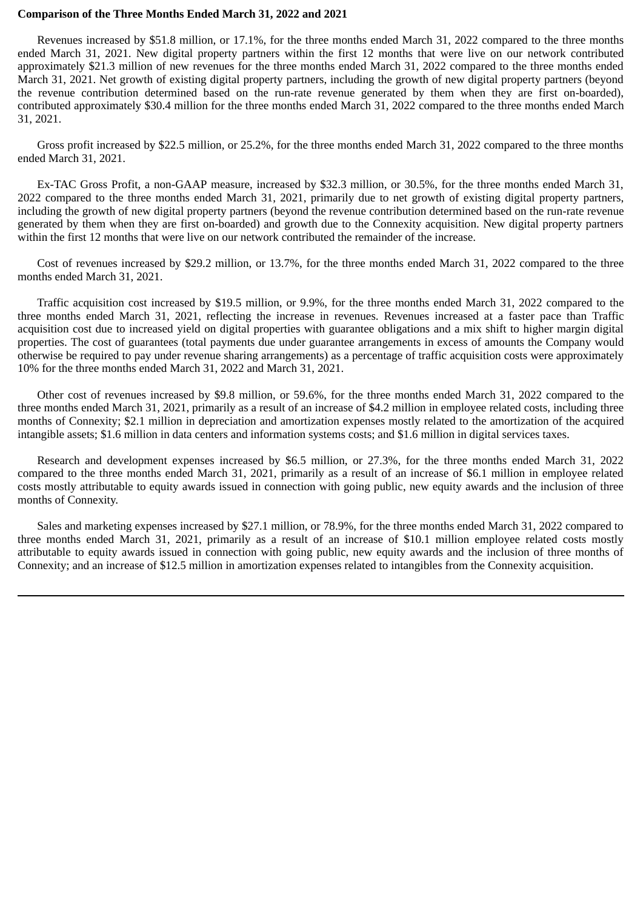#### **Comparison of the Three Months Ended March 31, 2022 and 2021**

Revenues increased by \$51.8 million, or 17.1%, for the three months ended March 31, 2022 compared to the three months ended March 31, 2021. New digital property partners within the first 12 months that were live on our network contributed approximately \$21.3 million of new revenues for the three months ended March 31, 2022 compared to the three months ended March 31, 2021. Net growth of existing digital property partners, including the growth of new digital property partners (beyond the revenue contribution determined based on the run-rate revenue generated by them when they are first on-boarded), contributed approximately \$30.4 million for the three months ended March 31, 2022 compared to the three months ended March 31, 2021.

Gross profit increased by \$22.5 million, or 25.2%, for the three months ended March 31, 2022 compared to the three months ended March 31, 2021.

Ex-TAC Gross Profit, a non-GAAP measure, increased by \$32.3 million, or 30.5%, for the three months ended March 31, 2022 compared to the three months ended March 31, 2021, primarily due to net growth of existing digital property partners, including the growth of new digital property partners (beyond the revenue contribution determined based on the run-rate revenue generated by them when they are first on-boarded) and growth due to the Connexity acquisition. New digital property partners within the first 12 months that were live on our network contributed the remainder of the increase.

Cost of revenues increased by \$29.2 million, or 13.7%, for the three months ended March 31, 2022 compared to the three months ended March 31, 2021.

Traffic acquisition cost increased by \$19.5 million, or 9.9%, for the three months ended March 31, 2022 compared to the three months ended March 31, 2021, reflecting the increase in revenues. Revenues increased at a faster pace than Traffic acquisition cost due to increased yield on digital properties with guarantee obligations and a mix shift to higher margin digital properties. The cost of guarantees (total payments due under guarantee arrangements in excess of amounts the Company would otherwise be required to pay under revenue sharing arrangements) as a percentage of traffic acquisition costs were approximately 10% for the three months ended March 31, 2022 and March 31, 2021.

Other cost of revenues increased by \$9.8 million, or 59.6%, for the three months ended March 31, 2022 compared to the three months ended March 31, 2021, primarily as a result of an increase of \$4.2 million in employee related costs, including three months of Connexity; \$2.1 million in depreciation and amortization expenses mostly related to the amortization of the acquired intangible assets; \$1.6 million in data centers and information systems costs; and \$1.6 million in digital services taxes.

Research and development expenses increased by \$6.5 million, or 27.3%, for the three months ended March 31, 2022 compared to the three months ended March 31, 2021, primarily as a result of an increase of \$6.1 million in employee related costs mostly attributable to equity awards issued in connection with going public, new equity awards and the inclusion of three months of Connexity.

Sales and marketing expenses increased by \$27.1 million, or 78.9%, for the three months ended March 31, 2022 compared to three months ended March 31, 2021, primarily as a result of an increase of \$10.1 million employee related costs mostly attributable to equity awards issued in connection with going public, new equity awards and the inclusion of three months of Connexity; and an increase of \$12.5 million in amortization expenses related to intangibles from the Connexity acquisition.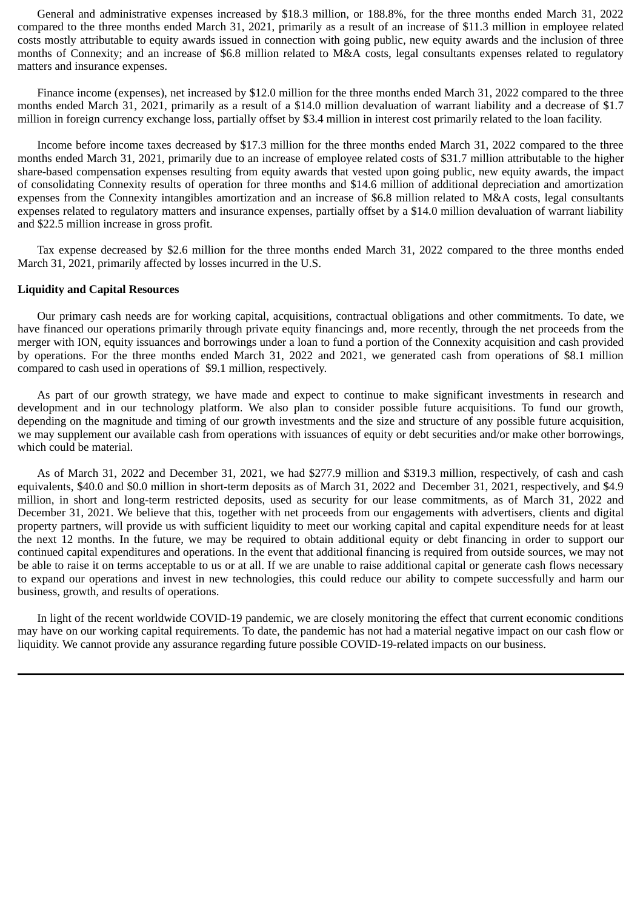General and administrative expenses increased by \$18.3 million, or 188.8%, for the three months ended March 31, 2022 compared to the three months ended March 31, 2021, primarily as a result of an increase of \$11.3 million in employee related costs mostly attributable to equity awards issued in connection with going public, new equity awards and the inclusion of three months of Connexity; and an increase of \$6.8 million related to M&A costs, legal consultants expenses related to regulatory matters and insurance expenses.

Finance income (expenses), net increased by \$12.0 million for the three months ended March 31, 2022 compared to the three months ended March 31, 2021, primarily as a result of a \$14.0 million devaluation of warrant liability and a decrease of \$1.7 million in foreign currency exchange loss, partially offset by \$3.4 million in interest cost primarily related to the loan facility.

Income before income taxes decreased by \$17.3 million for the three months ended March 31, 2022 compared to the three months ended March 31, 2021, primarily due to an increase of employee related costs of \$31.7 million attributable to the higher share-based compensation expenses resulting from equity awards that vested upon going public, new equity awards, the impact of consolidating Connexity results of operation for three months and \$14.6 million of additional depreciation and amortization expenses from the Connexity intangibles amortization and an increase of \$6.8 million related to M&A costs, legal consultants expenses related to regulatory matters and insurance expenses, partially offset by a \$14.0 million devaluation of warrant liability and \$22.5 million increase in gross profit.

Tax expense decreased by \$2.6 million for the three months ended March 31, 2022 compared to the three months ended March 31, 2021, primarily affected by losses incurred in the U.S.

# **Liquidity and Capital Resources**

Our primary cash needs are for working capital, acquisitions, contractual obligations and other commitments. To date, we have financed our operations primarily through private equity financings and, more recently, through the net proceeds from the merger with ION, equity issuances and borrowings under a loan to fund a portion of the Connexity acquisition and cash provided by operations. For the three months ended March 31, 2022 and 2021, we generated cash from operations of \$8.1 million compared to cash used in operations of \$9.1 million, respectively.

As part of our growth strategy, we have made and expect to continue to make significant investments in research and development and in our technology platform. We also plan to consider possible future acquisitions. To fund our growth, depending on the magnitude and timing of our growth investments and the size and structure of any possible future acquisition, we may supplement our available cash from operations with issuances of equity or debt securities and/or make other borrowings, which could be material.

As of March 31, 2022 and December 31, 2021, we had \$277.9 million and \$319.3 million, respectively, of cash and cash equivalents, \$40.0 and \$0.0 million in short-term deposits as of March 31, 2022 and December 31, 2021, respectively, and \$4.9 million, in short and long-term restricted deposits, used as security for our lease commitments, as of March 31, 2022 and December 31, 2021. We believe that this, together with net proceeds from our engagements with advertisers, clients and digital property partners, will provide us with sufficient liquidity to meet our working capital and capital expenditure needs for at least the next 12 months. In the future, we may be required to obtain additional equity or debt financing in order to support our continued capital expenditures and operations. In the event that additional financing is required from outside sources, we may not be able to raise it on terms acceptable to us or at all. If we are unable to raise additional capital or generate cash flows necessary to expand our operations and invest in new technologies, this could reduce our ability to compete successfully and harm our business, growth, and results of operations.

In light of the recent worldwide COVID-19 pandemic, we are closely monitoring the effect that current economic conditions may have on our working capital requirements. To date, the pandemic has not had a material negative impact on our cash flow or liquidity. We cannot provide any assurance regarding future possible COVID-19-related impacts on our business.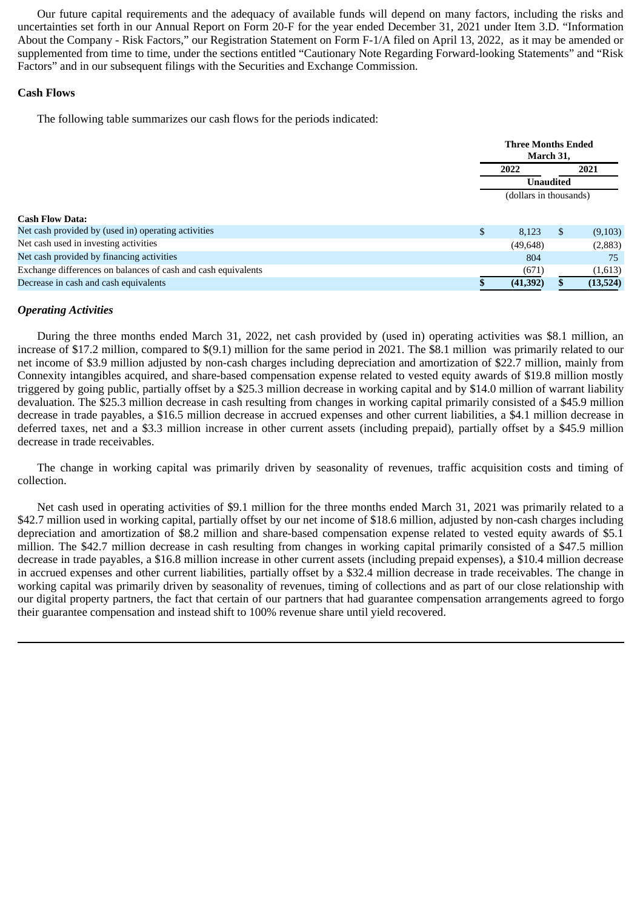Our future capital requirements and the adequacy of available funds will depend on many factors, including the risks and uncertainties set forth in our Annual Report on Form 20-F for the year ended December 31, 2021 under Item 3.D. "Information About the Company - Risk Factors," our Registration Statement on Form F-1/A filed on April 13, 2022, as it may be amended or supplemented from time to time, under the sections entitled "Cautionary Note Regarding Forward-looking Statements" and "Risk Factors" and in our subsequent filings with the Securities and Exchange Commission.

# **Cash Flows**

The following table summarizes our cash flows for the periods indicated:

|                                                               | <b>Three Months Ended</b><br>March 31, |      |          |  |  |
|---------------------------------------------------------------|----------------------------------------|------|----------|--|--|
|                                                               | 2022                                   | 2021 |          |  |  |
|                                                               | <b>Unaudited</b>                       |      |          |  |  |
|                                                               | (dollars in thousands)                 |      |          |  |  |
| <b>Cash Flow Data:</b>                                        |                                        |      |          |  |  |
| Net cash provided by (used in) operating activities           | \$<br>8,123                            | S.   | (9,103)  |  |  |
| Net cash used in investing activities                         | (49, 648)                              |      | (2,883)  |  |  |
| Net cash provided by financing activities                     | 804                                    |      | 75       |  |  |
| Exchange differences on balances of cash and cash equivalents | (671)                                  |      | (1,613)  |  |  |
| Decrease in cash and cash equivalents                         | (41,392)                               |      | (13,524) |  |  |

# *Operating Activities*

During the three months ended March 31, 2022, net cash provided by (used in) operating activities was \$8.1 million, an increase of \$17.2 million, compared to \$(9.1) million for the same period in 2021. The \$8.1 million was primarily related to our net income of \$3.9 million adjusted by non-cash charges including depreciation and amortization of \$22.7 million, mainly from Connexity intangibles acquired, and share-based compensation expense related to vested equity awards of \$19.8 million mostly triggered by going public, partially offset by a \$25.3 million decrease in working capital and by \$14.0 million of warrant liability devaluation. The \$25.3 million decrease in cash resulting from changes in working capital primarily consisted of a \$45.9 million decrease in trade payables, a \$16.5 million decrease in accrued expenses and other current liabilities, a \$4.1 million decrease in deferred taxes, net and a \$3.3 million increase in other current assets (including prepaid), partially offset by a \$45.9 million decrease in trade receivables.

The change in working capital was primarily driven by seasonality of revenues, traffic acquisition costs and timing of collection.

Net cash used in operating activities of \$9.1 million for the three months ended March 31, 2021 was primarily related to a \$42.7 million used in working capital, partially offset by our net income of \$18.6 million, adjusted by non-cash charges including depreciation and amortization of \$8.2 million and share-based compensation expense related to vested equity awards of \$5.1 million. The \$42.7 million decrease in cash resulting from changes in working capital primarily consisted of a \$47.5 million decrease in trade payables, a \$16.8 million increase in other current assets (including prepaid expenses), a \$10.4 million decrease in accrued expenses and other current liabilities, partially offset by a \$32.4 million decrease in trade receivables. The change in working capital was primarily driven by seasonality of revenues, timing of collections and as part of our close relationship with our digital property partners, the fact that certain of our partners that had guarantee compensation arrangements agreed to forgo their guarantee compensation and instead shift to 100% revenue share until yield recovered.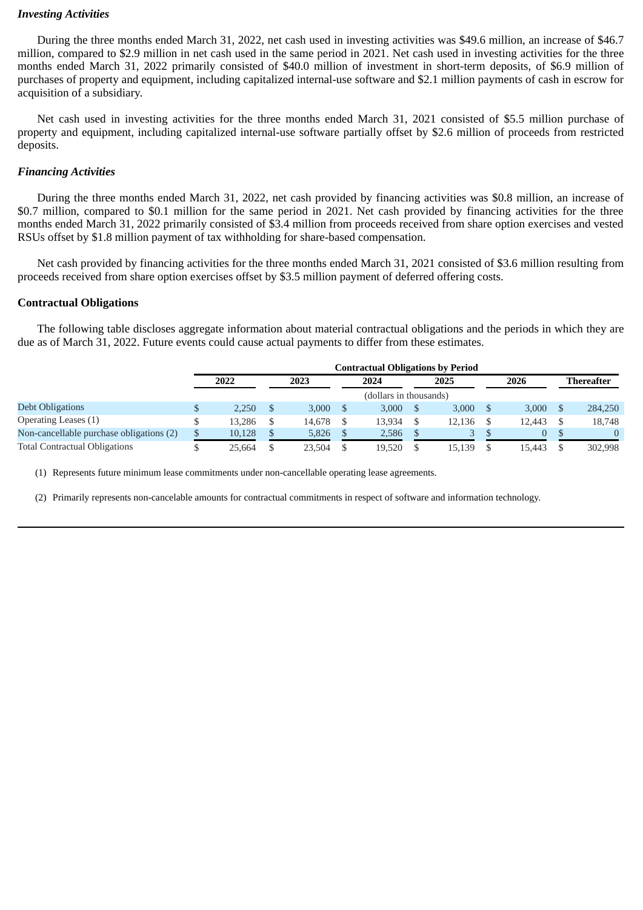# *Investing Activities*

During the three months ended March 31, 2022, net cash used in investing activities was \$49.6 million, an increase of \$46.7 million, compared to \$2.9 million in net cash used in the same period in 2021. Net cash used in investing activities for the three months ended March 31, 2022 primarily consisted of \$40.0 million of investment in short-term deposits, of \$6.9 million of purchases of property and equipment, including capitalized internal-use software and \$2.1 million payments of cash in escrow for acquisition of a subsidiary.

Net cash used in investing activities for the three months ended March 31, 2021 consisted of \$5.5 million purchase of property and equipment, including capitalized internal-use software partially offset by \$2.6 million of proceeds from restricted deposits.

# *Financing Activities*

During the three months ended March 31, 2022, net cash provided by financing activities was \$0.8 million, an increase of \$0.7 million, compared to \$0.1 million for the same period in 2021. Net cash provided by financing activities for the three months ended March 31, 2022 primarily consisted of \$3.4 million from proceeds received from share option exercises and vested RSUs offset by \$1.8 million payment of tax withholding for share-based compensation.

Net cash provided by financing activities for the three months ended March 31, 2021 consisted of \$3.6 million resulting from proceeds received from share option exercises offset by \$3.5 million payment of deferred offering costs.

# **Contractual Obligations**

The following table discloses aggregate information about material contractual obligations and the periods in which they are due as of March 31, 2022. Future events could cause actual payments to differ from these estimates.

|                                          |              |        | <b>Contractual Obligations by Period</b> |        |        |                   |
|------------------------------------------|--------------|--------|------------------------------------------|--------|--------|-------------------|
|                                          | 2022         | 2023   | 2024                                     | 2025   | 2026   | <b>Thereafter</b> |
|                                          |              |        | (dollars in thousands)                   |        |        |                   |
| Debt Obligations                         | 2.250        | 3.000  | 3.000                                    | 3.000  | 3.000  | 284,250           |
| Operating Leases (1)                     | 13.286       | 14.678 | 13.934                                   | 12.136 | 12.443 | 18,748            |
| Non-cancellable purchase obligations (2) | \$<br>10,128 | 5,826  | 2,586                                    | 3      | 0      |                   |
| <b>Total Contractual Obligations</b>     | 25.664       | 23.504 | 19.520                                   | 15.139 | 15.443 | 302,998           |

(1) Represents future minimum lease commitments under non-cancellable operating lease agreements.

(2) Primarily represents non-cancelable amounts for contractual commitments in respect of software and information technology.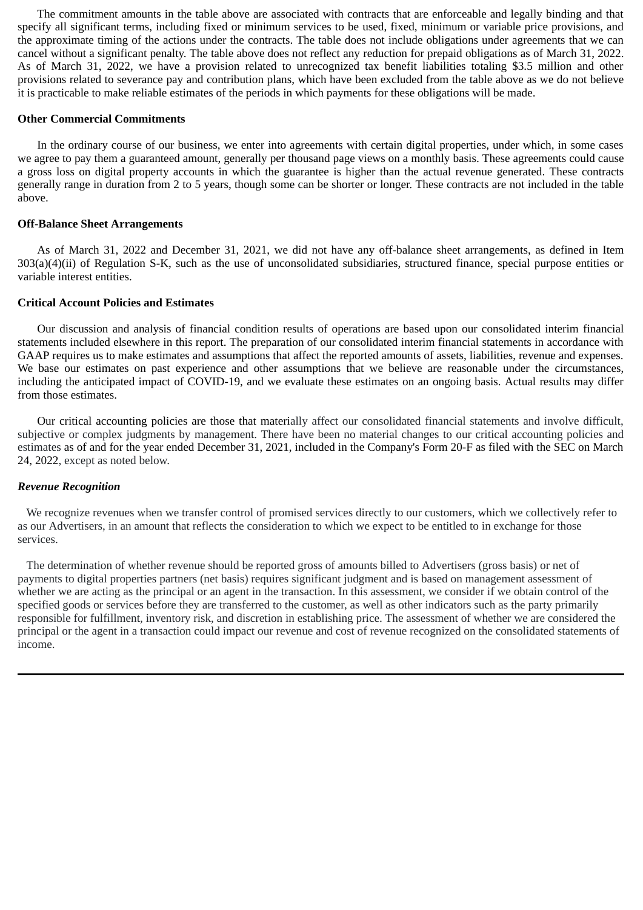The commitment amounts in the table above are associated with contracts that are enforceable and legally binding and that specify all significant terms, including fixed or minimum services to be used, fixed, minimum or variable price provisions, and the approximate timing of the actions under the contracts. The table does not include obligations under agreements that we can cancel without a significant penalty. The table above does not reflect any reduction for prepaid obligations as of March 31, 2022. As of March 31, 2022, we have a provision related to unrecognized tax benefit liabilities totaling \$3.5 million and other provisions related to severance pay and contribution plans, which have been excluded from the table above as we do not believe it is practicable to make reliable estimates of the periods in which payments for these obligations will be made.

# **Other Commercial Commitments**

In the ordinary course of our business, we enter into agreements with certain digital properties, under which, in some cases we agree to pay them a guaranteed amount, generally per thousand page views on a monthly basis. These agreements could cause a gross loss on digital property accounts in which the guarantee is higher than the actual revenue generated. These contracts generally range in duration from 2 to 5 years, though some can be shorter or longer. These contracts are not included in the table above.

# **Off-Balance Sheet Arrangements**

As of March 31, 2022 and December 31, 2021, we did not have any off-balance sheet arrangements, as defined in Item 303(a)(4)(ii) of Regulation S-K, such as the use of unconsolidated subsidiaries, structured finance, special purpose entities or variable interest entities.

# **Critical Account Policies and Estimates**

Our discussion and analysis of financial condition results of operations are based upon our consolidated interim financial statements included elsewhere in this report. The preparation of our consolidated interim financial statements in accordance with GAAP requires us to make estimates and assumptions that affect the reported amounts of assets, liabilities, revenue and expenses. We base our estimates on past experience and other assumptions that we believe are reasonable under the circumstances, including the anticipated impact of COVID-19, and we evaluate these estimates on an ongoing basis. Actual results may differ from those estimates.

Our critical accounting policies are those that materially affect our consolidated financial statements and involve difficult, subjective or complex judgments by management. There have been no material changes to our critical accounting policies and estimates as of and for the year ended December 31, 2021, included in the Company's Form 20-F as filed with the SEC on March 24, 2022, except as noted below.

# *Revenue Recognition*

We recognize revenues when we transfer control of promised services directly to our customers, which we collectively refer to as our Advertisers, in an amount that reflects the consideration to which we expect to be entitled to in exchange for those services.

The determination of whether revenue should be reported gross of amounts billed to Advertisers (gross basis) or net of payments to digital properties partners (net basis) requires significant judgment and is based on management assessment of whether we are acting as the principal or an agent in the transaction. In this assessment, we consider if we obtain control of the specified goods or services before they are transferred to the customer, as well as other indicators such as the party primarily responsible for fulfillment, inventory risk, and discretion in establishing price. The assessment of whether we are considered the principal or the agent in a transaction could impact our revenue and cost of revenue recognized on the consolidated statements of income.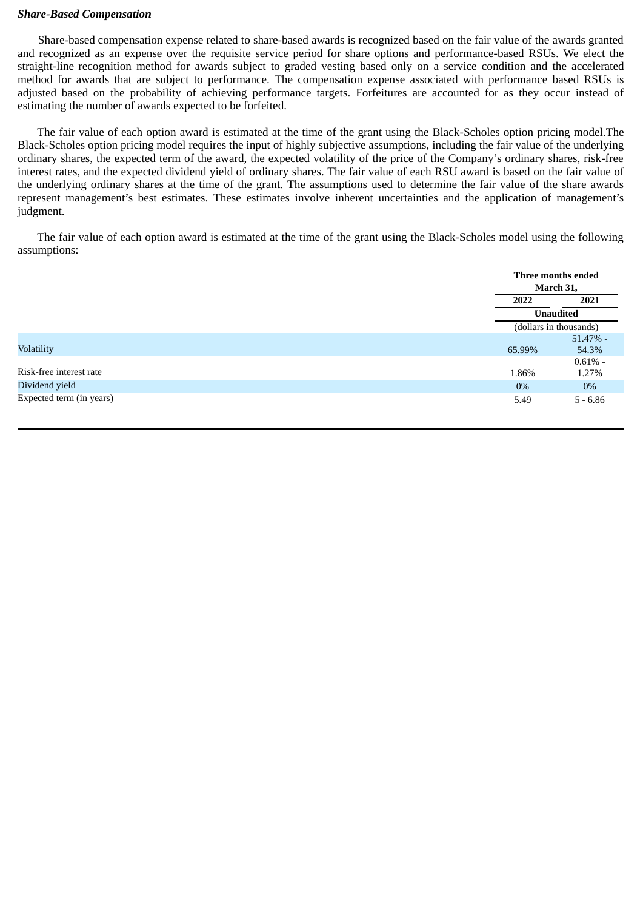# *Share-Based Compensation*

Share-based compensation expense related to share-based awards is recognized based on the fair value of the awards granted and recognized as an expense over the requisite service period for share options and performance-based RSUs. We elect the straight-line recognition method for awards subject to graded vesting based only on a service condition and the accelerated method for awards that are subject to performance. The compensation expense associated with performance based RSUs is adjusted based on the probability of achieving performance targets. Forfeitures are accounted for as they occur instead of estimating the number of awards expected to be forfeited.

The fair value of each option award is estimated at the time of the grant using the Black-Scholes option pricing model.The Black-Scholes option pricing model requires the input of highly subjective assumptions, including the fair value of the underlying ordinary shares, the expected term of the award, the expected volatility of the price of the Company's ordinary shares, risk-free interest rates, and the expected dividend yield of ordinary shares. The fair value of each RSU award is based on the fair value of the underlying ordinary shares at the time of the grant. The assumptions used to determine the fair value of the share awards represent management's best estimates. These estimates involve inherent uncertainties and the application of management's judgment.

The fair value of each option award is estimated at the time of the grant using the Black-Scholes model using the following assumptions:

|                          |        | Three months ended<br>March 31, |
|--------------------------|--------|---------------------------------|
|                          | 2022   | 2021                            |
|                          |        | <b>Unaudited</b>                |
|                          |        | (dollars in thousands)          |
|                          |        | $51.47\%$ -                     |
| <b>Volatility</b>        | 65.99% | 54.3%                           |
|                          |        | $0.61\%$ -                      |
| Risk-free interest rate  | 1.86%  | 1.27%                           |
| Dividend yield           | $0\%$  | 0%                              |
| Expected term (in years) | 5.49   | $5 - 6.86$                      |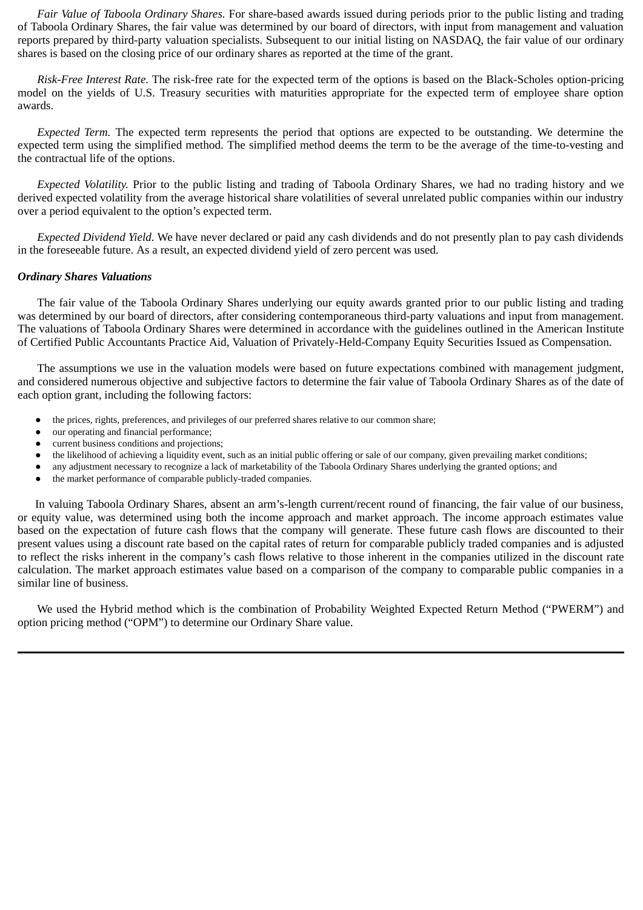*Fair Value of Taboola Ordinary Shares.* For share-based awards issued during periods prior to the public listing and trading of Taboola Ordinary Shares, the fair value was determined by our board of directors, with input from management and valuation reports prepared by third-party valuation specialists. Subsequent to our initial listing on NASDAQ, the fair value of our ordinary shares is based on the closing price of our ordinary shares as reported at the time of the grant.

*Risk-Free Interest Rate.* The risk-free rate for the expected term of the options is based on the Black-Scholes option-pricing model on the yields of U.S. Treasury securities with maturities appropriate for the expected term of employee share option awards.

*Expected Term.* The expected term represents the period that options are expected to be outstanding. We determine the expected term using the simplified method. The simplified method deems the term to be the average of the time-to-vesting and the contractual life of the options.

*Expected Volatility.* Prior to the public listing and trading of Taboola Ordinary Shares, we had no trading history and we derived expected volatility from the average historical share volatilities of several unrelated public companies within our industry over a period equivalent to the option's expected term.

*Expected Dividend Yield.* We have never declared or paid any cash dividends and do not presently plan to pay cash dividends in the foreseeable future. As a result, an expected dividend yield of zero percent was used.

# *Ordinary Shares Valuations*

The fair value of the Taboola Ordinary Shares underlying our equity awards granted prior to our public listing and trading was determined by our board of directors, after considering contemporaneous third-party valuations and input from management. The valuations of Taboola Ordinary Shares were determined in accordance with the guidelines outlined in the American Institute of Certified Public Accountants Practice Aid, Valuation of Privately-Held-Company Equity Securities Issued as Compensation.

The assumptions we use in the valuation models were based on future expectations combined with management judgment, and considered numerous objective and subjective factors to determine the fair value of Taboola Ordinary Shares as of the date of each option grant, including the following factors:

- the prices, rights, preferences, and privileges of our preferred shares relative to our common share;
- our operating and financial performance;
- current business conditions and projections;
- the likelihood of achieving a liquidity event, such as an initial public offering or sale of our company, given prevailing market conditions;
- any adjustment necessary to recognize a lack of marketability of the Taboola Ordinary Shares underlying the granted options; and
- the market performance of comparable publicly-traded companies.

In valuing Taboola Ordinary Shares, absent an arm's-length current/recent round of financing, the fair value of our business, or equity value, was determined using both the income approach and market approach. The income approach estimates value based on the expectation of future cash flows that the company will generate. These future cash flows are discounted to their present values using a discount rate based on the capital rates of return for comparable publicly traded companies and is adjusted to reflect the risks inherent in the company's cash flows relative to those inherent in the companies utilized in the discount rate calculation. The market approach estimates value based on a comparison of the company to comparable public companies in a similar line of business.

We used the Hybrid method which is the combination of Probability Weighted Expected Return Method ("PWERM") and option pricing method ("OPM") to determine our Ordinary Share value.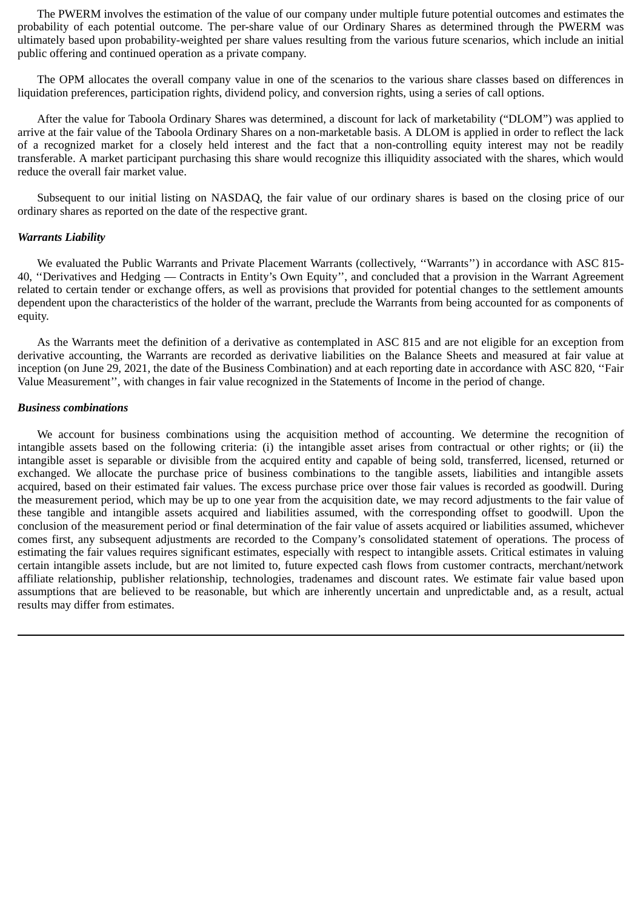The PWERM involves the estimation of the value of our company under multiple future potential outcomes and estimates the probability of each potential outcome. The per-share value of our Ordinary Shares as determined through the PWERM was ultimately based upon probability-weighted per share values resulting from the various future scenarios, which include an initial public offering and continued operation as a private company.

The OPM allocates the overall company value in one of the scenarios to the various share classes based on differences in liquidation preferences, participation rights, dividend policy, and conversion rights, using a series of call options.

After the value for Taboola Ordinary Shares was determined, a discount for lack of marketability ("DLOM") was applied to arrive at the fair value of the Taboola Ordinary Shares on a non-marketable basis. A DLOM is applied in order to reflect the lack of a recognized market for a closely held interest and the fact that a non-controlling equity interest may not be readily transferable. A market participant purchasing this share would recognize this illiquidity associated with the shares, which would reduce the overall fair market value.

Subsequent to our initial listing on NASDAQ, the fair value of our ordinary shares is based on the closing price of our ordinary shares as reported on the date of the respective grant.

#### *Warrants Liability*

We evaluated the Public Warrants and Private Placement Warrants (collectively, ''Warrants'') in accordance with ASC 815- 40, ''Derivatives and Hedging — Contracts in Entity's Own Equity'', and concluded that a provision in the Warrant Agreement related to certain tender or exchange offers, as well as provisions that provided for potential changes to the settlement amounts dependent upon the characteristics of the holder of the warrant, preclude the Warrants from being accounted for as components of equity.

As the Warrants meet the definition of a derivative as contemplated in ASC 815 and are not eligible for an exception from derivative accounting, the Warrants are recorded as derivative liabilities on the Balance Sheets and measured at fair value at inception (on June 29, 2021, the date of the Business Combination) and at each reporting date in accordance with ASC 820, ''Fair Value Measurement'', with changes in fair value recognized in the Statements of Income in the period of change.

#### *Business combinations*

We account for business combinations using the acquisition method of accounting. We determine the recognition of intangible assets based on the following criteria: (i) the intangible asset arises from contractual or other rights; or (ii) the intangible asset is separable or divisible from the acquired entity and capable of being sold, transferred, licensed, returned or exchanged. We allocate the purchase price of business combinations to the tangible assets, liabilities and intangible assets acquired, based on their estimated fair values. The excess purchase price over those fair values is recorded as goodwill. During the measurement period, which may be up to one year from the acquisition date, we may record adjustments to the fair value of these tangible and intangible assets acquired and liabilities assumed, with the corresponding offset to goodwill. Upon the conclusion of the measurement period or final determination of the fair value of assets acquired or liabilities assumed, whichever comes first, any subsequent adjustments are recorded to the Company's consolidated statement of operations. The process of estimating the fair values requires significant estimates, especially with respect to intangible assets. Critical estimates in valuing certain intangible assets include, but are not limited to, future expected cash flows from customer contracts, merchant/network affiliate relationship, publisher relationship, technologies, tradenames and discount rates. We estimate fair value based upon assumptions that are believed to be reasonable, but which are inherently uncertain and unpredictable and, as a result, actual results may differ from estimates.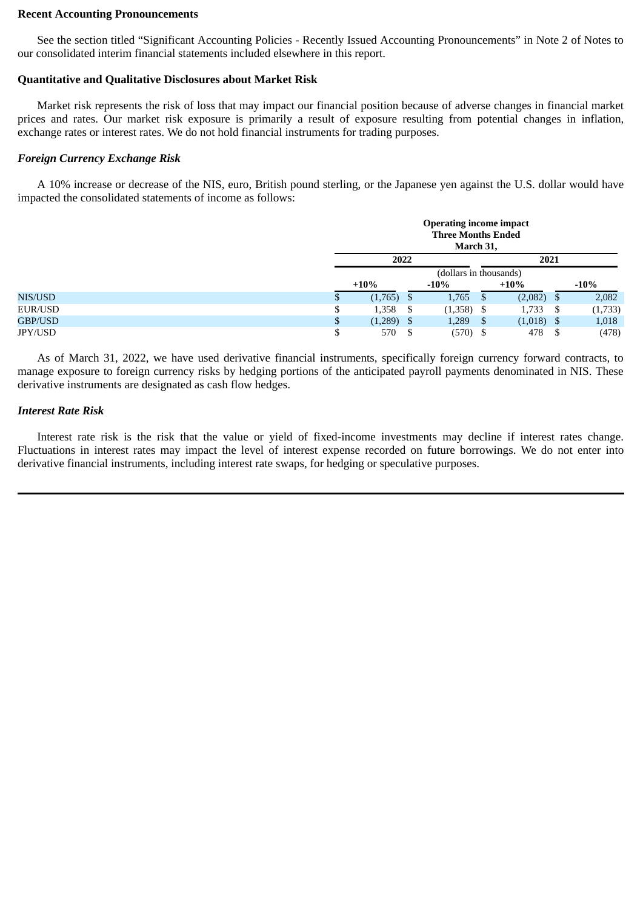#### **Recent Accounting Pronouncements**

See the section titled "Significant Accounting Policies - Recently Issued Accounting Pronouncements" in Note 2 of Notes to our consolidated interim financial statements included elsewhere in this report.

# **Quantitative and Qualitative Disclosures about Market Risk**

Market risk represents the risk of loss that may impact our financial position because of adverse changes in financial market prices and rates. Our market risk exposure is primarily a result of exposure resulting from potential changes in inflation, exchange rates or interest rates. We do not hold financial instruments for trading purposes.

# *Foreign Currency Exchange Risk*

A 10% increase or decrease of the NIS, euro, British pound sterling, or the Japanese yen against the U.S. dollar would have impacted the consolidated statements of income as follows:

|         |   |              |     | <b>Operating income impact</b><br><b>Three Months Ended</b><br>March 31, |      |              |      |         |
|---------|---|--------------|-----|--------------------------------------------------------------------------|------|--------------|------|---------|
|         |   | 2022         |     |                                                                          |      | 2021         |      |         |
|         |   |              |     | (dollars in thousands)                                                   |      |              |      |         |
|         |   | $+10%$       |     | $-10%$                                                                   |      | $+10%$       |      | $-10%$  |
| NIS/USD |   | $(1,765)$ \$ |     | 1,765                                                                    |      | $(2,082)$ \$ |      | 2,082   |
| EUR/USD | D | 1,358        | - S | $(1,358)$ \$                                                             |      | 1,733        | - \$ | (1,733) |
| GBP/USD |   | $(1,289)$ \$ |     | 1,289                                                                    | - \$ | $(1,018)$ \$ |      | 1,018   |
| JPY/USD |   | 570          |     | $(570)$ \$                                                               |      | 478          |      | (478)   |

As of March 31, 2022, we have used derivative financial instruments, specifically foreign currency forward contracts, to manage exposure to foreign currency risks by hedging portions of the anticipated payroll payments denominated in NIS. These derivative instruments are designated as cash flow hedges.

# *Interest Rate Risk*

Interest rate risk is the risk that the value or yield of fixed-income investments may decline if interest rates change. Fluctuations in interest rates may impact the level of interest expense recorded on future borrowings. We do not enter into derivative financial instruments, including interest rate swaps, for hedging or speculative purposes.